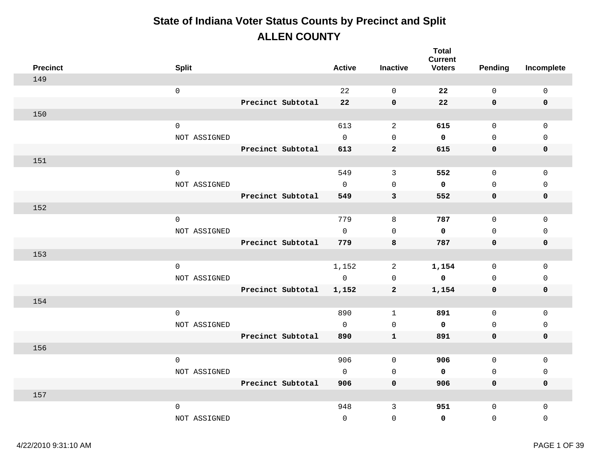| <b>Precinct</b> | <b>Split</b>                |                   | <b>Active</b>       | <b>Inactive</b>            | <b>Total</b><br><b>Current</b><br><b>Voters</b> | Pending             | Incomplete                  |
|-----------------|-----------------------------|-------------------|---------------------|----------------------------|-------------------------------------------------|---------------------|-----------------------------|
| 149             |                             |                   |                     |                            |                                                 |                     |                             |
|                 | $\mathsf{O}\xspace$         |                   | 22                  | $\Omega$                   | 22                                              | $\mathbf 0$         | $\mathbf 0$                 |
|                 |                             | Precinct Subtotal | 22                  | $\mathbf 0$                | 22                                              | $\mathbf 0$         | $\mathbf 0$                 |
| 150             |                             |                   |                     |                            |                                                 |                     |                             |
|                 | $\mathsf 0$                 |                   | 613                 | 2                          | 615                                             | $\mathbf 0$         | $\Omega$                    |
|                 | NOT ASSIGNED                |                   | $\mathbf 0$         | $\mathsf 0$                | $\mathbf 0$                                     | $\mathsf{O}\xspace$ | $\mathbf 0$                 |
|                 |                             | Precinct Subtotal | 613                 | $\mathbf{2}$               | 615                                             | 0                   | $\mathbf 0$                 |
| 151             |                             |                   |                     |                            |                                                 |                     |                             |
|                 | $\mathbf 0$                 |                   | 549                 | $\mathbf{3}$               | 552                                             | 0                   | $\mathbf 0$                 |
|                 | NOT ASSIGNED                |                   | $\mathsf{O}$        | $\mathbf 0$                | $\mathbf 0$                                     | 0                   | $\mathsf{O}$                |
|                 |                             | Precinct Subtotal | 549                 | 3                          | 552                                             | 0                   | $\mathbf 0$                 |
| 152             |                             |                   |                     |                            |                                                 |                     |                             |
|                 | $\mathsf 0$                 |                   | 779                 | 8                          | 787                                             | 0                   | 0                           |
|                 | NOT ASSIGNED                |                   | $\mathbf 0$         | $\Omega$                   | $\mathbf 0$                                     | $\mathbf{0}$        | $\mathbf{0}$                |
|                 |                             | Precinct Subtotal | 779                 | 8                          | 787                                             | $\mathbf 0$         | $\mathbf 0$                 |
| 153             |                             |                   |                     |                            |                                                 |                     |                             |
|                 | $\mathsf 0$                 |                   | 1,152               | $\overline{a}$             | 1,154                                           | $\mathsf{O}$        | $\mathbf 0$                 |
|                 | NOT ASSIGNED                |                   | $\mathsf{O}\xspace$ | $\mathsf 0$                | $\mathbf 0$                                     | 0                   | $\mathbf 0$                 |
|                 |                             | Precinct Subtotal | 1,152               | $\mathbf{2}$               | 1,154                                           | 0                   | $\mathbf 0$                 |
| 154             |                             |                   |                     |                            |                                                 |                     |                             |
|                 | $\mathsf 0$                 |                   | 890                 | $\mathbf{1}$               | 891                                             | $\mathsf{O}$        | $\mathbf 0$                 |
|                 | NOT ASSIGNED                |                   | $\mathsf{O}$        | $\mathbf 0$                | $\mathbf 0$                                     | 0                   | $\mathsf{O}$                |
| 156             |                             | Precinct Subtotal | 890                 | $\mathbf{1}$               | 891                                             | 0                   | $\mathbf 0$                 |
|                 |                             |                   | 906                 |                            | 906                                             |                     |                             |
|                 | $\mathbf 0$<br>NOT ASSIGNED |                   | $\mathbf 0$         | $\mathbf 0$<br>$\mathbf 0$ | $\mathbf 0$                                     | 0<br>0              | $\mathsf{O}$<br>$\mathbf 0$ |
|                 |                             | Precinct Subtotal | 906                 | $\mathbf 0$                | 906                                             | 0                   | $\mathbf 0$                 |
| 157             |                             |                   |                     |                            |                                                 |                     |                             |
|                 | $\mathsf 0$                 |                   | 948                 | $\mathbf{3}$               | 951                                             | $\mathbf 0$         | $\mathbf 0$                 |
|                 | NOT ASSIGNED                |                   | $\mathbf 0$         | $\mathsf 0$                | $\mathbf 0$                                     | $\mathsf 0$         | $\mathbf 0$                 |
|                 |                             |                   |                     |                            |                                                 |                     |                             |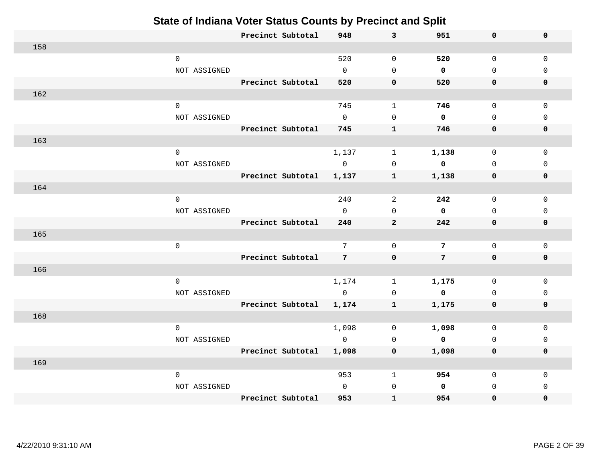|     |                     | Precinct Subtotal | 948             | 3              | 951                     | 0            | $\mathbf 0$ |  |
|-----|---------------------|-------------------|-----------------|----------------|-------------------------|--------------|-------------|--|
| 158 |                     |                   |                 |                |                         |              |             |  |
|     | $\mathsf{O}\xspace$ |                   | 520             | $\mathbf 0$    | 520                     | $\mathbf 0$  | $\mathbf 0$ |  |
|     | NOT ASSIGNED        |                   | $\mathbf 0$     | $\Omega$       | $\mathbf 0$             | $\mathbf 0$  | $\Omega$    |  |
|     |                     | Precinct Subtotal | 520             | $\mathbf 0$    | 520                     | 0            | 0           |  |
| 162 |                     |                   |                 |                |                         |              |             |  |
|     | $\mathbf 0$         |                   | 745             | $\mathbf{1}$   | 746                     | $\mathsf{O}$ | $\Omega$    |  |
|     | NOT ASSIGNED        |                   | $\mathbf 0$     | $\mathsf 0$    | $\mathbf 0$             | $\mathbf 0$  | $\mathbf 0$ |  |
|     |                     | Precinct Subtotal | 745             | $\mathbf{1}$   | 746                     | 0            | 0           |  |
| 163 |                     |                   |                 |                |                         |              |             |  |
|     | $\mathsf 0$         |                   | 1,137           | $\mathbf 1$    | 1,138                   | $\mathbf 0$  | $\mathbf 0$ |  |
|     | NOT ASSIGNED        |                   | $\overline{0}$  | $\mathbf 0$    | $\mathbf{0}$            | $\mathbf 0$  | $\mathbf 0$ |  |
|     |                     | Precinct Subtotal | 1,137           | $\mathbf{1}$   | 1,138                   | 0            | $\mathbf 0$ |  |
| 164 |                     |                   |                 |                |                         |              |             |  |
|     | $\mathsf{O}\xspace$ |                   | 240             | $\overline{a}$ | 242                     | $\mathbf 0$  | $\mathbf 0$ |  |
|     | NOT ASSIGNED        |                   | $\Omega$        | $\Omega$       | $\mathbf 0$             | $\mathbf 0$  | $\Omega$    |  |
|     |                     | Precinct Subtotal | 240             | $\overline{2}$ | 242                     | 0            | $\mathbf 0$ |  |
| 165 |                     |                   |                 |                |                         |              |             |  |
|     | $\mathsf{O}\xspace$ |                   | 7               | $\mathbf 0$    | 7                       | $\mathbf 0$  | $\Omega$    |  |
|     |                     | Precinct Subtotal | $7\overline{ }$ | $\pmb{0}$      | $7\overline{ }$         | 0            | $\mathbf 0$ |  |
| 166 |                     |                   |                 |                |                         |              |             |  |
|     | $\mathsf{O}\xspace$ |                   | 1,174           | $\mathbf{1}$   | 1,175                   | $\mathbf 0$  | $\mathbf 0$ |  |
|     | NOT ASSIGNED        |                   | $\overline{0}$  | $\mathbf 0$    | $\overline{\mathbf{0}}$ | $\mathbf 0$  | $\mathbf 0$ |  |
|     |                     | Precinct Subtotal | 1,174           | $\mathbf{1}$   | 1,175                   | 0            | 0           |  |
| 168 |                     |                   |                 |                |                         |              |             |  |
|     | $\mathsf 0$         |                   | 1,098           | $\mathbf 0$    | 1,098                   | $\mathbf 0$  | $\mathbf 0$ |  |
|     | NOT ASSIGNED        |                   | $\overline{0}$  | $\Omega$       | $\overline{\mathbf{0}}$ | $\Omega$     | $\Omega$    |  |
|     |                     | Precinct Subtotal | 1,098           | 0              | 1,098                   | 0            | $\mathbf 0$ |  |
| 169 |                     |                   |                 |                |                         |              |             |  |
|     | $\mathbf 0$         |                   | 953             | $\mathbf{1}$   | 954                     | 0            | 0           |  |
|     | NOT ASSIGNED        |                   | $\mathbf{0}$    | $\mathbf{0}$   | $\mathbf 0$             | $\mathbf 0$  | $\Omega$    |  |
|     |                     | Precinct Subtotal | 953             | $\mathbf{1}$   | 954                     | 0            | 0           |  |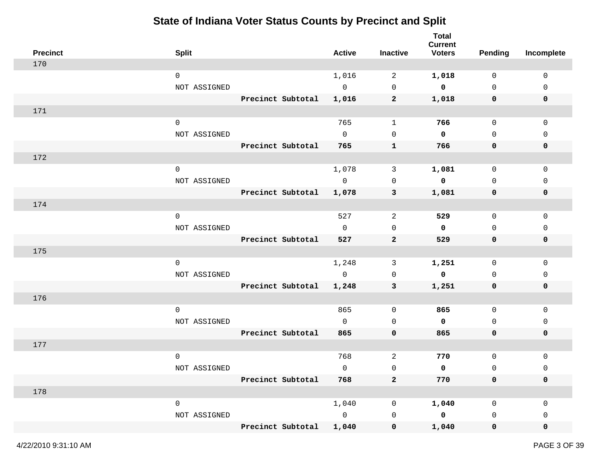| <b>Precinct</b> | <b>Split</b>        |                   | <b>Active</b>  | <b>Inactive</b> | <b>Total</b><br><b>Current</b><br><b>Voters</b> | <b>Pending</b> | Incomplete   |
|-----------------|---------------------|-------------------|----------------|-----------------|-------------------------------------------------|----------------|--------------|
| 170             |                     |                   |                |                 |                                                 |                |              |
|                 | $\mathsf{O}$        |                   | 1,016          | 2               | 1,018                                           | $\mathbf 0$    | $\mathbf 0$  |
|                 | NOT ASSIGNED        |                   | $\mathbb O$    | $\mathbf 0$     | $\overline{\mathbf{0}}$                         | 0              | 0            |
|                 |                     | Precinct Subtotal | 1,016          | $\mathbf{2}$    | 1,018                                           | 0              | $\mathbf 0$  |
| 171             |                     |                   |                |                 |                                                 |                |              |
|                 | $\mathbf 0$         |                   | 765            | $\mathbf{1}$    | 766                                             | 0              | $\mathbf 0$  |
|                 | NOT ASSIGNED        |                   | $\overline{0}$ | 0               | 0                                               | $\mathbf 0$    | 0            |
|                 |                     | Precinct Subtotal | 765            | $\mathbf{1}$    | 766                                             | 0              | $\mathbf 0$  |
| 172             |                     |                   |                |                 |                                                 |                |              |
|                 | $\mathsf{O}\xspace$ |                   | 1,078          | 3               | 1,081                                           | $\mathsf{O}$   | 0            |
|                 | NOT ASSIGNED        |                   | $\overline{0}$ | $\mathbf 0$     | $\mathbf 0$                                     | $\mathbf 0$    | 0            |
|                 |                     | Precinct Subtotal | 1,078          | 3               | 1,081                                           | 0              | $\mathbf 0$  |
| 174             |                     |                   |                |                 |                                                 |                |              |
|                 | $\mathbf 0$         |                   | 527            | 2               | 529                                             | $\mathsf{O}$   | $\mathbf 0$  |
|                 | NOT ASSIGNED        |                   | $\overline{0}$ | 0               | 0                                               | $\mathbf 0$    | 0            |
|                 |                     | Precinct Subtotal | 527            | $\overline{2}$  | 529                                             | 0              | 0            |
| 175             |                     |                   |                |                 |                                                 |                |              |
|                 | $\mathsf{O}$        |                   | 1,248          | 3               | 1,251                                           | 0              | $\mathbf 0$  |
|                 | NOT ASSIGNED        |                   | $\mathbf 0$    | $\mathbf 0$     | $\mathbf 0$                                     | 0              | 0            |
|                 |                     | Precinct Subtotal | 1,248          | 3               | 1,251                                           | 0              | 0            |
| 176             |                     |                   |                |                 |                                                 |                |              |
|                 | $\mathbf 0$         |                   | 865            | 0               | 865                                             | 0              | $\mathbf{0}$ |
|                 | NOT ASSIGNED        |                   | $\mathbf{0}$   | 0               | 0                                               | 0              | 0            |
|                 |                     | Precinct Subtotal | 865            | $\mathbf 0$     | 865                                             | 0              | 0            |
| 177             |                     |                   |                |                 |                                                 |                |              |
|                 | $\mathbf 0$         |                   | 768            | 2               | 770                                             | $\mathsf{O}$   | 0            |
|                 | NOT ASSIGNED        |                   | $\mathsf{O}$   | 0               | 0                                               | 0              | 0            |
|                 |                     | Precinct Subtotal | 768            | $\mathbf{2}$    | 770                                             | $\mathbf 0$    | $\mathbf 0$  |
| 178             |                     |                   |                |                 |                                                 |                |              |
|                 | $\mathsf{O}$        |                   | 1,040          | 0               | 1,040                                           | 0              | 0            |
|                 | NOT ASSIGNED        |                   | $\overline{0}$ | 0               | $\mathbf 0$                                     | 0              | 0            |
|                 |                     | Precinct Subtotal | 1,040          | 0               | 1,040                                           | $\mathbf 0$    | 0            |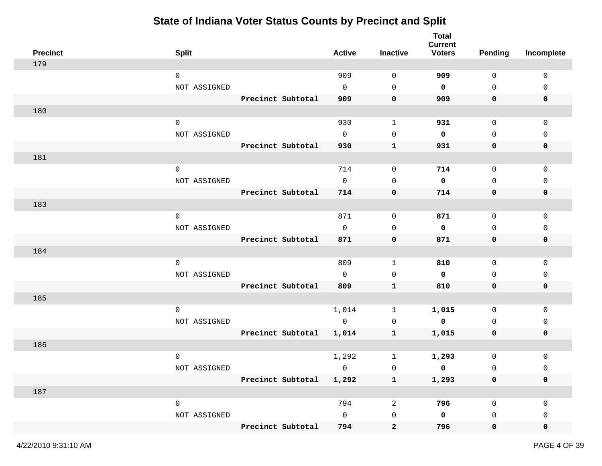| <b>Precinct</b> | <b>Split</b>        |                         | <b>Active</b>  | Inactive       | <b>Total</b><br><b>Current</b><br><b>Voters</b> | <b>Pending</b>      | Incomplete  |
|-----------------|---------------------|-------------------------|----------------|----------------|-------------------------------------------------|---------------------|-------------|
| 179             |                     |                         |                |                |                                                 |                     |             |
|                 | $\mathbf 0$         |                         | 909            | $\mathbf 0$    | 909                                             | $\mathbf 0$         | $\mathbf 0$ |
|                 | NOT ASSIGNED        |                         | $\overline{0}$ | 0              | 0                                               | $\mathsf{O}$        | 0           |
|                 |                     | Precinct Subtotal       | 909            | 0              | 909                                             | 0                   | 0           |
| 180             |                     |                         |                |                |                                                 |                     |             |
|                 | $\mathsf{O}$        |                         | 930            | $\mathbf 1$    | 931                                             | $\mathsf{O}$        | 0           |
|                 | NOT ASSIGNED        |                         | $\mathbf{0}$   | 0              | 0                                               | $\mathbf 0$         | 0           |
|                 |                     | Precinct Subtotal       | 930            | $\mathbf{1}$   | 931                                             | 0                   | 0           |
| 181             |                     |                         |                |                |                                                 |                     |             |
|                 | $\mathsf{O}\xspace$ |                         | 714            | $\mathsf{O}$   | 714                                             | $\mathsf{O}$        | $\mathsf 0$ |
|                 | NOT ASSIGNED        |                         | $\mathbf 0$    | $\mathbf 0$    | 0                                               | $\mathbf 0$         | 0           |
|                 |                     | Precinct Subtotal       | 714            | 0              | 714                                             | 0                   | 0           |
| 183             |                     |                         |                |                |                                                 |                     |             |
|                 | $\mathbf 0$         |                         | 871            | 0              | 871                                             | 0                   | 0           |
|                 | NOT ASSIGNED        |                         | $\mathbf{0}$   | 0              | 0                                               | 0                   | 0           |
|                 |                     | Precinct Subtotal       | 871            | 0              | 871                                             | 0                   | 0           |
| 184             |                     |                         |                |                |                                                 |                     |             |
|                 | $\mathbf 0$         |                         | 809            | $\mathbf{1}$   | 810                                             | $\mathsf{O}$        | $\mathsf 0$ |
|                 | NOT ASSIGNED        |                         | $\mathbf 0$    | 0              | 0                                               | 0                   | 0           |
|                 |                     | Precinct Subtotal       | 809            | $\mathbf{1}$   | 810                                             | 0                   | 0           |
| 185             |                     |                         |                |                |                                                 |                     |             |
|                 | $\mathbf 0$         |                         | 1,014          | 1              | 1,015                                           | $\mathsf{O}$        | 0           |
|                 | NOT ASSIGNED        |                         | $\mathbf 0$    | 0              | 0                                               | 0                   | 0           |
|                 |                     | Precinct Subtotal       | 1,014          | $\mathbf{1}$   | 1,015                                           | 0                   | 0           |
| 186             |                     |                         |                |                |                                                 |                     |             |
|                 | $\mathbf 0$         |                         | 1,292          | 1              | 1,293                                           | $\mathsf{O}\xspace$ | 0           |
|                 | NOT ASSIGNED        |                         | $\mathbf 0$    | 0              | 0                                               | 0                   | 0           |
|                 |                     | Precinct Subtotal 1,292 |                | $\mathbf{1}$   | 1,293                                           | $\pmb{0}$           | 0           |
| 187             |                     |                         |                |                |                                                 |                     |             |
|                 | $\mathsf{O}$        |                         | 794            | $\overline{a}$ | 796                                             | $\mathsf{O}$        | 0           |
|                 | NOT ASSIGNED        |                         | $\mathsf{O}$   | $\mathsf 0$    | $\mathbf 0$                                     | 0                   | 0           |
|                 |                     | Precinct Subtotal       | 794            | $\mathbf{2}$   | 796                                             | $\mathbf 0$         | 0           |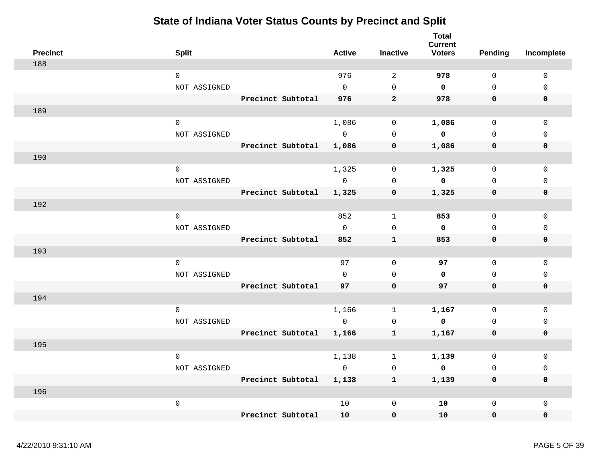| <b>Precinct</b> | <b>Split</b>        |                   | <b>Active</b>  | <b>Inactive</b> | <b>Total</b><br><b>Current</b><br><b>Voters</b> | Pending             | Incomplete   |
|-----------------|---------------------|-------------------|----------------|-----------------|-------------------------------------------------|---------------------|--------------|
| 188             |                     |                   |                |                 |                                                 |                     |              |
|                 | $\mathbf 0$         |                   | 976            | 2               | 978                                             | $\Omega$            | $\mathbf 0$  |
|                 | NOT ASSIGNED        |                   | $\Omega$       | $\Omega$        | $\Omega$                                        | $\Omega$            | $\Omega$     |
|                 |                     | Precinct Subtotal | 976            | $\overline{2}$  | 978                                             | 0                   | $\mathbf 0$  |
| 189             |                     |                   |                |                 |                                                 |                     |              |
|                 | $\Omega$            |                   | 1,086          | $\Omega$        | 1,086                                           | $\Omega$            | $\Omega$     |
|                 | NOT ASSIGNED        |                   | $\Omega$       | $\Omega$        | $\mathbf{0}$                                    | $\Omega$            | $\Omega$     |
|                 |                     | Precinct Subtotal | 1,086          | $\mathbf 0$     | 1,086                                           | 0                   | $\mathbf 0$  |
| 190             |                     |                   |                |                 |                                                 |                     |              |
|                 | $\mathsf{O}\xspace$ |                   | 1,325          | 0               | 1,325                                           | $\Omega$            | $\mathbf 0$  |
|                 | NOT ASSIGNED        |                   | $\overline{0}$ | $\mathbf 0$     | $\mathbf 0$                                     | $\Omega$            | $\mathbf{0}$ |
|                 |                     | Precinct Subtotal | 1,325          | $\mathbf 0$     | 1,325                                           | 0                   | $\mathbf 0$  |
| 192             |                     |                   |                |                 |                                                 |                     |              |
|                 | $\Omega$            |                   | 852            | $\mathbf{1}$    | 853                                             | $\Omega$            | $\mathsf 0$  |
|                 | NOT ASSIGNED        |                   | $\Omega$       | $\mathbf 0$     | $\mathbf 0$                                     | $\mathbf 0$         | $\mathbf{0}$ |
|                 |                     | Precinct Subtotal | 852            | $\mathbf{1}$    | 853                                             | $\mathbf 0$         | 0            |
| 193             |                     |                   |                |                 |                                                 |                     |              |
|                 | $\mathbf 0$         |                   | 97             | $\mathbf 0$     | 97                                              | $\mathbf 0$         | $\mathbf 0$  |
|                 | NOT ASSIGNED        |                   | $\Omega$       | $\Omega$        | $\mathbf 0$                                     | $\Omega$            | $\mathbf{0}$ |
|                 |                     | Precinct Subtotal | 97             | $\mathbf 0$     | 97                                              | $\mathbf 0$         | $\mathbf 0$  |
| 194             |                     |                   |                |                 |                                                 |                     |              |
|                 | $\mathbf 0$         |                   | 1,166          | $\mathbf{1}$    | 1,167                                           | $\mathbf 0$         | $\mathbf 0$  |
|                 | NOT ASSIGNED        |                   | $\overline{0}$ | $\mathbf 0$     | $\overline{\mathbf{0}}$                         | $\mathsf{O}\xspace$ | 0            |
|                 |                     | Precinct Subtotal | 1,166          | $\mathbf{1}$    | 1,167                                           | 0                   | 0            |
| 195             |                     |                   |                |                 |                                                 |                     |              |
|                 | $\mathbf 0$         |                   | 1,138          | 1               | 1,139                                           | $\mathbf 0$         | $\mathbf{0}$ |
|                 | NOT ASSIGNED        |                   | $\overline{0}$ | $\mathbf 0$     | $\mathbf 0$                                     | $\Omega$            | $\mathsf 0$  |
|                 |                     | Precinct Subtotal | 1,138          | $\mathbf{1}$    | 1,139                                           | 0                   | $\mathbf 0$  |
| 196             |                     |                   |                |                 |                                                 |                     |              |
|                 | $\mathsf{O}\xspace$ |                   | 10             | 0               | 10                                              | $\mathsf{O}$        | $\mathsf 0$  |
|                 |                     | Precinct Subtotal | 10             | 0               | 10                                              | 0                   | 0            |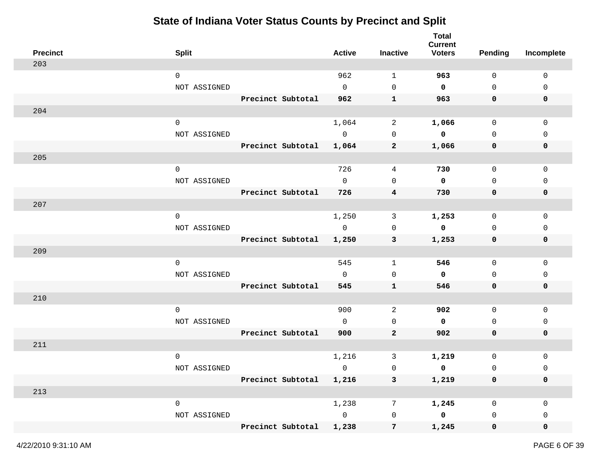| <b>Precinct</b> | <b>Split</b>        |                         | <b>Active</b>  | Inactive                | <b>Total</b><br><b>Current</b><br><b>Voters</b> | <b>Pending</b> | Incomplete   |
|-----------------|---------------------|-------------------------|----------------|-------------------------|-------------------------------------------------|----------------|--------------|
| 203             |                     |                         |                |                         |                                                 |                |              |
|                 | $\mathsf{O}$        |                         | 962            | 1                       | 963                                             | $\mathbf 0$    | $\mathbf 0$  |
|                 | NOT ASSIGNED        |                         | $\mathbf 0$    | 0                       | $\mathbf 0$                                     | 0              | 0            |
|                 |                     | Precinct Subtotal       | 962            | $\mathbf{1}$            | 963                                             | 0              | 0            |
| 204             |                     |                         |                |                         |                                                 |                |              |
|                 | $\mathsf{O}$        |                         | 1,064          | $\mathbf{2}$            | 1,066                                           | $\mathsf{O}$   | 0            |
|                 | NOT ASSIGNED        |                         | $\mathsf{O}$   | 0                       | 0                                               | $\mathbf 0$    | $\Omega$     |
|                 |                     | Precinct Subtotal       | 1,064          | $\mathbf{2}$            | 1,066                                           | 0              | 0            |
| 205             |                     |                         |                |                         |                                                 |                |              |
|                 | $\mathsf{O}\xspace$ |                         | 726            | 4                       | 730                                             | $\mathsf{O}$   | $\mathbf 0$  |
|                 | NOT ASSIGNED        |                         | $\Omega$       | $\mathbf 0$             | 0                                               | $\mathbf 0$    | 0            |
|                 |                     | Precinct Subtotal       | 726            | $\overline{\mathbf{4}}$ | 730                                             | 0              | 0            |
| 207             |                     |                         |                |                         |                                                 |                |              |
|                 | $\mathbf 0$         |                         | 1,250          | 3                       | 1,253                                           | $\mathbf 0$    | 0            |
|                 | NOT ASSIGNED        |                         | $\mathbf 0$    | 0                       | $\mathbf 0$                                     | 0              | 0            |
|                 |                     | Precinct Subtotal       | 1,250          | 3                       | 1,253                                           | 0              | 0            |
| 209             |                     |                         |                |                         |                                                 |                |              |
|                 | $\mathsf{O}$        |                         | 545            | 1                       | 546                                             | $\mathsf{O}$   | $\mathbf 0$  |
|                 | NOT ASSIGNED        |                         | $\mathsf{O}$   | 0                       | 0                                               | 0              | 0            |
|                 |                     | Precinct Subtotal       | 545            | $\mathbf{1}$            | 546                                             | 0              | 0            |
| 210             |                     |                         |                |                         |                                                 |                |              |
|                 | $\mathbf 0$         |                         | 900            | 2                       | 902                                             | $\mathbf 0$    | $\mathbf{0}$ |
|                 | NOT ASSIGNED        |                         | $\Omega$       | 0                       | 0                                               | $\mathbf 0$    | 0            |
|                 |                     | Precinct Subtotal       | 900            | $\overline{2}$          | 902                                             | 0              | 0            |
| 211             |                     |                         |                |                         |                                                 |                |              |
|                 | $\mathbf 0$         |                         | 1,216          | 3                       | 1,219                                           | $\mathsf{O}$   | 0            |
|                 | NOT ASSIGNED        |                         | $\mathbf 0$    | 0                       | 0                                               | 0              | 0            |
|                 |                     | Precinct Subtotal 1,216 |                | $\mathbf{3}$            | 1,219                                           | 0              | 0            |
| 213             |                     |                         |                |                         |                                                 |                |              |
|                 | $\mathsf{O}\xspace$ |                         | 1,238          | 7                       | 1,245                                           | 0              | 0            |
|                 | NOT ASSIGNED        |                         | $\overline{0}$ | $\mathsf 0$             | $\overline{\mathbf{0}}$                         | 0              | 0            |
|                 |                     | Precinct Subtotal       | 1,238          | $7\overline{ }$         | 1,245                                           | $\mathbf 0$    | 0            |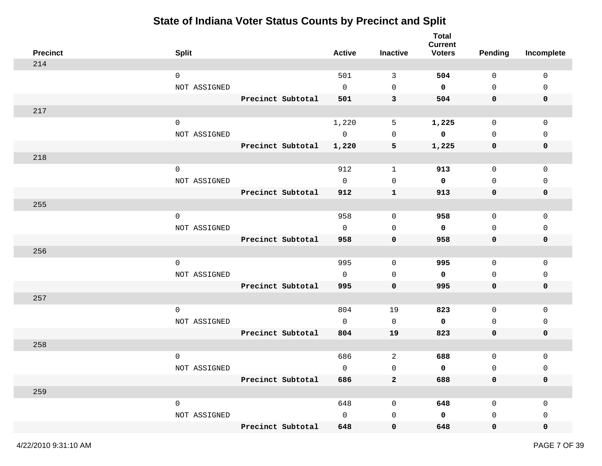| <b>Precinct</b> | <b>Split</b> |                   | <b>Active</b> | <b>Inactive</b>         | <b>Total</b><br><b>Current</b><br><b>Voters</b> | <b>Pending</b>      | Incomplete   |
|-----------------|--------------|-------------------|---------------|-------------------------|-------------------------------------------------|---------------------|--------------|
| 214             |              |                   |               |                         |                                                 |                     |              |
|                 | $\mathbf 0$  |                   | 501           | 3                       | 504                                             | 0                   | $\mathbf 0$  |
|                 | NOT ASSIGNED |                   | $\mathbf 0$   | $\mathbf 0$             | 0                                               | $\mathsf{O}$        | 0            |
|                 |              | Precinct Subtotal | 501           | 3                       | 504                                             | 0                   | 0            |
| 217             |              |                   |               |                         |                                                 |                     |              |
|                 | $\mathbf 0$  |                   | 1,220         | 5                       | 1,225                                           | $\mathsf{O}$        | $\mathsf 0$  |
|                 | NOT ASSIGNED |                   | $\mathsf{O}$  | 0                       | 0                                               | $\mathbf 0$         | $\mathbf{0}$ |
|                 |              | Precinct Subtotal | 1,220         | $\overline{\mathbf{5}}$ | 1,225                                           | 0                   | 0            |
| 218             |              |                   |               |                         |                                                 |                     |              |
|                 | $\mathsf{O}$ |                   | 912           | $\mathbf{1}$            | 913                                             | $\mathsf{O}$        | $\mathsf 0$  |
|                 | NOT ASSIGNED |                   | $\mathbf 0$   | $\mathbf 0$             | 0                                               | $\mathbf 0$         | 0            |
|                 |              | Precinct Subtotal | 912           | $\mathbf{1}$            | 913                                             | 0                   | 0            |
| 255             |              |                   |               |                         |                                                 |                     |              |
|                 | $\mathbf 0$  |                   | 958           | 0                       | 958                                             | 0                   | 0            |
|                 | NOT ASSIGNED |                   | $\mathbf 0$   | $\mathbf 0$             | 0                                               | 0                   | 0            |
|                 |              | Precinct Subtotal | 958           | 0                       | 958                                             | 0                   | 0            |
| 256             |              |                   |               |                         |                                                 |                     |              |
|                 | $\mathbf 0$  |                   | 995           | 0                       | 995                                             | $\mathsf{O}$        | $\mathbf 0$  |
|                 | NOT ASSIGNED |                   | $\mathbf 0$   | 0                       | 0                                               | 0                   | 0            |
|                 |              | Precinct Subtotal | 995           | $\mathbf 0$             | 995                                             | 0                   | 0            |
| 257             |              |                   |               |                         |                                                 |                     |              |
|                 | $\mathbf 0$  |                   | 804           | 19                      | 823                                             | 0                   | 0            |
|                 | NOT ASSIGNED |                   | $\mathbf{0}$  | 0                       | 0                                               | 0                   | 0            |
|                 |              | Precinct Subtotal | 804           | 19                      | 823                                             | 0                   | 0            |
| 258             |              |                   |               |                         |                                                 |                     |              |
|                 | $\mathbf 0$  |                   | 686           | $\overline{c}$          | 688                                             | $\mathsf{O}\xspace$ | 0            |
|                 | NOT ASSIGNED |                   | $\mathbf 0$   | 0                       | 0                                               | $\mathsf 0$         | 0            |
|                 |              | Precinct Subtotal | 686           | $\bf{2}$                | 688                                             | $\mathbf 0$         | 0            |
| 259             |              |                   |               |                         |                                                 |                     |              |
|                 | $\mathsf{O}$ |                   | 648           | 0                       | 648                                             | $\mathsf{O}$        | $\mathbf 0$  |
|                 | NOT ASSIGNED |                   | $\mathsf{O}$  | $\mathsf{O}$            | 0                                               | 0                   | 0            |
|                 |              | Precinct Subtotal | 648           | 0                       | 648                                             | $\mathbf 0$         | 0            |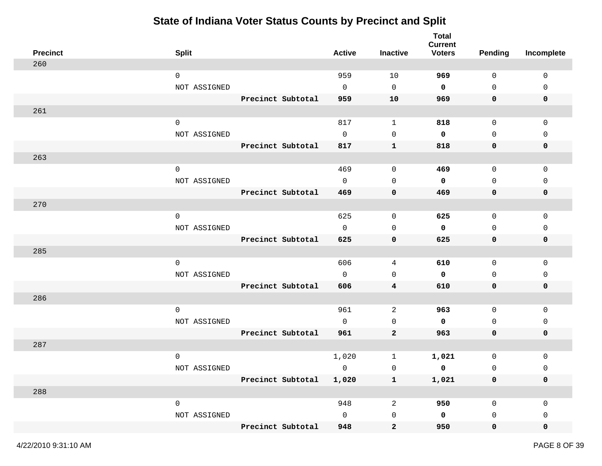| <b>Precinct</b> | <b>Split</b>        |                         | <b>Active</b> | Inactive            | <b>Total</b><br><b>Current</b><br><b>Voters</b> | <b>Pending</b>      | Incomplete   |
|-----------------|---------------------|-------------------------|---------------|---------------------|-------------------------------------------------|---------------------|--------------|
| 260             |                     |                         |               |                     |                                                 |                     |              |
|                 | $\mathbf 0$         |                         | 959           | 10                  | 969                                             | 0                   | $\mathbf 0$  |
|                 | NOT ASSIGNED        |                         | $\mathbf 0$   | $\mathsf{O}\xspace$ | 0                                               | $\mathsf{O}$        | 0            |
|                 |                     | Precinct Subtotal       | 959           | 10                  | 969                                             | 0                   | 0            |
| 261             |                     |                         |               |                     |                                                 |                     |              |
|                 | $\mathbf 0$         |                         | 817           | $\mathbf{1}$        | 818                                             | $\mathsf{O}$        | 0            |
|                 | NOT ASSIGNED        |                         | $\mathbf 0$   | 0                   | 0                                               | $\mathbf 0$         | $\mathbf{0}$ |
|                 |                     | Precinct Subtotal       | 817           | $\mathbf{1}$        | 818                                             | 0                   | 0            |
| 263             |                     |                         |               |                     |                                                 |                     |              |
|                 | $\mathsf{O}\xspace$ |                         | 469           | 0                   | 469                                             | $\mathsf{O}\xspace$ | 0            |
|                 | NOT ASSIGNED        |                         | $\mathbf 0$   | $\mathbf 0$         | 0                                               | $\mathsf{O}$        | 0            |
|                 |                     | Precinct Subtotal       | 469           | 0                   | 469                                             | 0                   | 0            |
| 270             |                     |                         |               |                     |                                                 |                     |              |
|                 | $\mathsf{O}\xspace$ |                         | 625           | 0                   | 625                                             | 0                   | 0            |
|                 | NOT ASSIGNED        |                         | $\mathbf 0$   | 0                   | 0                                               | 0                   | 0            |
|                 |                     | Precinct Subtotal       | 625           | 0                   | 625                                             | 0                   | 0            |
| 285             |                     |                         |               |                     |                                                 |                     |              |
|                 | $\mathbf 0$         |                         | 606           | 4                   | 610                                             | $\mathsf{O}$        | $\mathbf 0$  |
|                 | NOT ASSIGNED        |                         | $\mathbf 0$   | 0                   | 0                                               | 0                   | 0            |
|                 |                     | Precinct Subtotal       | 606           | 4                   | 610                                             | 0                   | 0            |
| 286             |                     |                         |               |                     |                                                 |                     |              |
|                 | $\mathbf 0$         |                         | 961           | 2                   | 963                                             | 0                   | 0            |
|                 | NOT ASSIGNED        |                         | $\mathbf 0$   | 0                   | 0                                               | 0                   | 0            |
|                 |                     | Precinct Subtotal       | 961           | $\mathbf 2$         | 963                                             | 0                   | 0            |
| 287             |                     |                         |               |                     |                                                 |                     |              |
|                 | $\mathbf 0$         |                         | 1,020         | $\mathbf 1$         | 1,021                                           | 0                   | 0            |
|                 | NOT ASSIGNED        |                         | 0             | $\mathsf 0$         | 0                                               | $\mathsf 0$         | 0            |
|                 |                     | Precinct Subtotal 1,020 |               | $\mathbf{1}$        | 1,021                                           | $\mathbf 0$         | 0            |
| 288             |                     |                         |               |                     |                                                 |                     |              |
|                 | $\mathsf{O}\xspace$ |                         | 948           | $\sqrt{2}$          | 950                                             | $\mathsf{O}$        | 0            |
|                 | NOT ASSIGNED        |                         | $\mathsf{O}$  | $\mathsf 0$         | $\mathsf{o}\,$                                  | 0                   | 0            |
|                 |                     | Precinct Subtotal       | 948           | $\boldsymbol{2}$    | 950                                             | $\mathbf 0$         | 0            |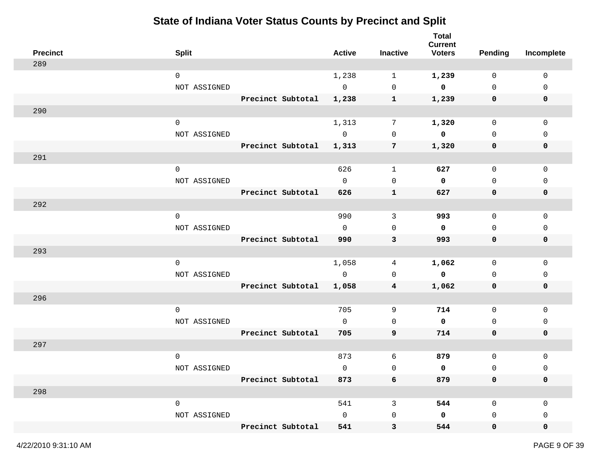| <b>Precinct</b> | <b>Split</b>        |                   | <b>Active</b>  | Inactive     | <b>Total</b><br><b>Current</b><br><b>Voters</b> | <b>Pending</b> | Incomplete   |
|-----------------|---------------------|-------------------|----------------|--------------|-------------------------------------------------|----------------|--------------|
| 289             |                     |                   |                |              |                                                 |                |              |
|                 | $\mathsf{O}$        |                   | 1,238          | 1            | 1,239                                           | 0              | $\mathbf 0$  |
|                 | NOT ASSIGNED        |                   | $\mathbf 0$    | $\mathbf 0$  | $\mathbf 0$                                     | $\mathbf 0$    | 0            |
|                 |                     | Precinct Subtotal | 1,238          | $\mathbf{1}$ | 1,239                                           | 0              | $\mathbf 0$  |
| 290             |                     |                   |                |              |                                                 |                |              |
|                 | $\mathsf{O}$        |                   | 1,313          | 7            | 1,320                                           | $\mathsf{O}$   | $\mathsf 0$  |
|                 | NOT ASSIGNED        |                   | $\overline{0}$ | 0            | 0                                               | $\mathbf 0$    | $\mathbf{0}$ |
|                 |                     | Precinct Subtotal | 1,313          | 7            | 1,320                                           | 0              | 0            |
| 291             |                     |                   |                |              |                                                 |                |              |
|                 | $\mathsf{O}\xspace$ |                   | 626            | $\mathbf{1}$ | 627                                             | $\mathsf{O}$   | $\mathbf 0$  |
|                 | NOT ASSIGNED        |                   | $\mathbf 0$    | $\mathbf 0$  | $\mathbf 0$                                     | $\mathbf 0$    | 0            |
|                 |                     | Precinct Subtotal | 626            | 1            | 627                                             | 0              | 0            |
| 292             |                     |                   |                |              |                                                 |                |              |
|                 | $\mathsf{O}$        |                   | 990            | 3            | 993                                             | 0              | 0            |
|                 | NOT ASSIGNED        |                   | $\mathbf 0$    | 0            | $\mathbf 0$                                     | $\mathbf 0$    | 0            |
|                 |                     | Precinct Subtotal | 990            | 3            | 993                                             | 0              | 0            |
| 293             |                     |                   |                |              |                                                 |                |              |
|                 | $\mathbf 0$         |                   | 1,058          | 4            | 1,062                                           | 0              | $\mathbf 0$  |
|                 | NOT ASSIGNED        |                   | $\mathbf 0$    | 0            | $\mathbf 0$                                     | 0              | 0            |
|                 |                     | Precinct Subtotal | 1,058          | 4            | 1,062                                           | 0              | 0            |
| 296             |                     |                   |                |              |                                                 |                |              |
|                 | $\mathsf{O}$        |                   | 705            | 9            | 714                                             | 0              | 0            |
|                 | NOT ASSIGNED        |                   | $\mathbf 0$    | 0            | $\mathbf 0$                                     | 0              | 0            |
|                 |                     | Precinct Subtotal | 705            | 9            | 714                                             | 0              | 0            |
| 297             |                     |                   |                |              |                                                 |                |              |
|                 | $\mathbf 0$         |                   | 873            | 6            | 879                                             | $\mathsf{O}$   | 0            |
|                 | NOT ASSIGNED        |                   | $\mathbf 0$    | $\mathsf 0$  | 0                                               | $\mathsf 0$    | 0            |
|                 |                     | Precinct Subtotal | 873            | 6            | 879                                             | 0              | 0            |
| 298             |                     |                   |                |              |                                                 |                |              |
|                 | $\mathsf{O}\xspace$ |                   | 541            | $\mathsf{3}$ | 544                                             | $\mathsf{O}$   | $\mathbf 0$  |
|                 | NOT ASSIGNED        |                   | $\mathsf{O}$   | $\mathsf{O}$ | $\mathbf 0$                                     | 0              | 0            |
|                 |                     | Precinct Subtotal | 541            | 3            | 544                                             | $\mathbf 0$    | 0            |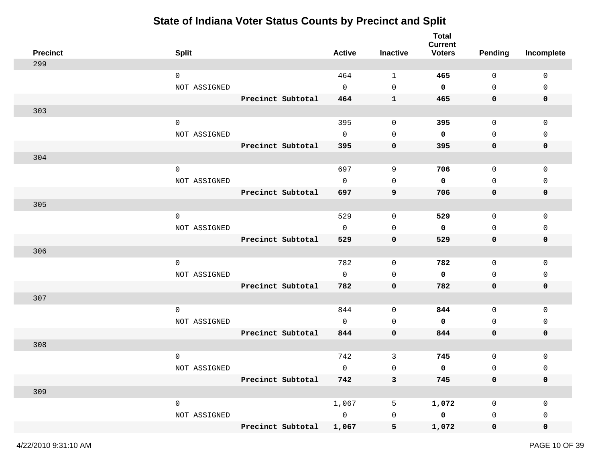| <b>Precinct</b> | <b>Split</b> |                       | <b>Active</b>  | <b>Inactive</b> | <b>Total</b><br><b>Current</b><br><b>Voters</b> | <b>Pending</b>      | Incomplete   |
|-----------------|--------------|-----------------------|----------------|-----------------|-------------------------------------------------|---------------------|--------------|
| 299             |              |                       |                |                 |                                                 |                     |              |
|                 | $\mathbf 0$  |                       | 464            | 1               | 465                                             | 0                   | $\mathbf 0$  |
|                 | NOT ASSIGNED |                       | $\mathbf 0$    | $\mathbf 0$     | 0                                               | $\mathsf{O}$        | 0            |
|                 |              | Precinct Subtotal     | 464            | $\mathbf{1}$    | 465                                             | 0                   | 0            |
| 303             |              |                       |                |                 |                                                 |                     |              |
|                 | $\mathbf 0$  |                       | 395            | 0               | 395                                             | $\mathsf{O}$        | 0            |
|                 | NOT ASSIGNED |                       | $\mathbf 0$    | 0               | 0                                               | $\mathbf 0$         | $\mathbf{0}$ |
|                 |              | Precinct Subtotal     | 395            | 0               | 395                                             | 0                   | 0            |
| 304             |              |                       |                |                 |                                                 |                     |              |
|                 | $\mathsf{O}$ |                       | 697            | $\,9$           | 706                                             | $\mathsf{O}$        | 0            |
|                 | NOT ASSIGNED |                       | $\mathbf 0$    | $\mathbf 0$     | 0                                               | $\mathbf 0$         | 0            |
|                 |              | Precinct Subtotal     | 697            | 9               | 706                                             | 0                   | 0            |
| 305             |              |                       |                |                 |                                                 |                     |              |
|                 | $\mathbf 0$  |                       | 529            | 0               | 529                                             | 0                   | 0            |
|                 | NOT ASSIGNED |                       | $\mathbf 0$    | $\mathbf 0$     | 0                                               | 0                   | 0            |
|                 |              | Precinct Subtotal     | 529            | 0               | 529                                             | 0                   | 0            |
| 306             |              |                       |                |                 |                                                 |                     |              |
|                 | $\mathbf 0$  |                       | 782            | 0               | 782                                             | $\mathsf{O}$        | $\mathbf 0$  |
|                 | NOT ASSIGNED |                       | $\mathbf 0$    | 0               | 0                                               | 0                   | 0            |
|                 |              | Precinct Subtotal     | 782            | 0               | 782                                             | 0                   | 0            |
| 307             |              |                       |                |                 |                                                 |                     |              |
|                 | $\mathbf 0$  |                       | 844            | 0               | 844                                             | 0                   | 0            |
|                 | NOT ASSIGNED |                       | $\mathbf 0$    | 0               | 0                                               | 0                   | 0            |
|                 |              | Precinct Subtotal     | 844            | $\mathbf 0$     | 844                                             | 0                   | 0            |
| 308             |              |                       |                |                 |                                                 |                     |              |
|                 | $\mathbf 0$  |                       | 742            | 3               | 745                                             | $\mathsf{O}\xspace$ | 0            |
|                 | NOT ASSIGNED |                       | $\mathbf 0$    | $\mathsf 0$     | 0                                               | $\mathsf 0$         | 0            |
|                 |              | Precinct Subtotal 742 |                | $\mathbf{3}$    | 745                                             | 0                   | 0            |
| 309             |              |                       |                |                 |                                                 |                     |              |
|                 | $\mathsf{O}$ |                       | 1,067          | 5               | 1,072                                           | 0                   | 0            |
|                 | NOT ASSIGNED |                       | $\overline{0}$ | $\mathsf 0$     | $\mathbf 0$                                     | 0                   | 0            |
|                 |              | Precinct Subtotal     | 1,067          | 5               | 1,072                                           | $\mathbf 0$         | 0            |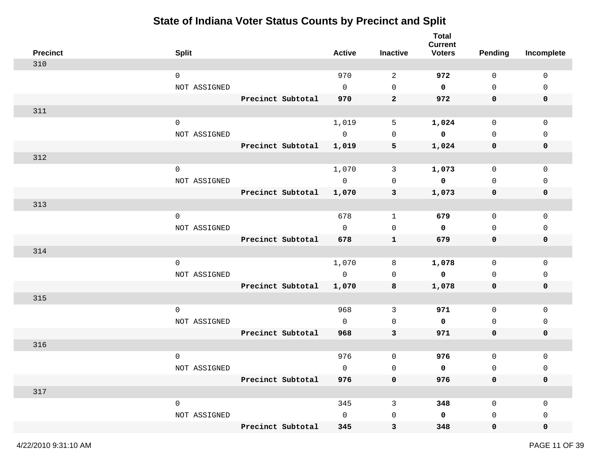| <b>Precinct</b> | <b>Split</b> |                   | <b>Active</b>  | <b>Inactive</b>         | <b>Total</b><br><b>Current</b><br><b>Voters</b> | <b>Pending</b> | Incomplete   |
|-----------------|--------------|-------------------|----------------|-------------------------|-------------------------------------------------|----------------|--------------|
| 310             |              |                   |                |                         |                                                 |                |              |
|                 | $\mathbf 0$  |                   | 970            | 2                       | 972                                             | $\mathbf 0$    | $\mathbf 0$  |
|                 | NOT ASSIGNED |                   | $\mathbf 0$    | $\mathbf 0$             | $\mathbf 0$                                     | $\mathsf{O}$   | 0            |
|                 |              | Precinct Subtotal | 970            | $\mathbf{2}$            | 972                                             | 0              | $\mathbf 0$  |
| 311             |              |                   |                |                         |                                                 |                |              |
|                 | $\mathbf 0$  |                   | 1,019          | 5                       | 1,024                                           | $\mathsf{O}$   | $\mathsf 0$  |
|                 | NOT ASSIGNED |                   | $\overline{0}$ | 0                       | 0                                               | $\mathbf 0$    | $\mathbf{0}$ |
|                 |              | Precinct Subtotal | 1,019          | $\overline{\mathbf{5}}$ | 1,024                                           | 0              | 0            |
| 312             |              |                   |                |                         |                                                 |                |              |
|                 | $\mathsf{O}$ |                   | 1,070          | 3                       | 1,073                                           | $\mathsf{O}$   | $\mathsf 0$  |
|                 | NOT ASSIGNED |                   | $\overline{0}$ | 0                       | $\mathbf 0$                                     | $\mathbf 0$    | 0            |
|                 |              | Precinct Subtotal | 1,070          | 3                       | 1,073                                           | 0              | 0            |
| 313             |              |                   |                |                         |                                                 |                |              |
|                 | $\mathbf 0$  |                   | 678            | $\mathbf{1}$            | 679                                             | 0              | 0            |
|                 | NOT ASSIGNED |                   | $\mathsf{O}$   | $\mathbf 0$             | $\mathbf 0$                                     | $\mathbf 0$    | 0            |
|                 |              | Precinct Subtotal | 678            | $\mathbf{1}$            | 679                                             | 0              | 0            |
| 314             |              |                   |                |                         |                                                 |                |              |
|                 | $\mathbf 0$  |                   | 1,070          | 8                       | 1,078                                           | 0              | $\mathbf 0$  |
|                 | NOT ASSIGNED |                   | $\mathsf{O}$   | 0                       | $\mathbf 0$                                     | 0              | 0            |
|                 |              | Precinct Subtotal | 1,070          | 8                       | 1,078                                           | 0              | 0            |
| 315             |              |                   |                |                         |                                                 |                |              |
|                 | $\mathbf 0$  |                   | 968            | 3                       | 971                                             | 0              | 0            |
|                 | NOT ASSIGNED |                   | $\mathbf{0}$   | $\mathbf 0$             | 0                                               | $\mathbf 0$    | 0            |
|                 |              | Precinct Subtotal | 968            | $\mathbf{3}$            | 971                                             | 0              | 0            |
| 316             |              |                   |                |                         |                                                 |                |              |
|                 | $\mathbf 0$  |                   | 976            | 0                       | 976                                             | $\mathsf{O}$   | 0            |
|                 | NOT ASSIGNED |                   | 0              | $\mathsf 0$             | 0                                               | $\mathsf 0$    | 0            |
|                 |              | Precinct Subtotal | 976            | 0                       | 976                                             | $\mathbf 0$    | 0            |
| 317             |              |                   |                |                         |                                                 |                |              |
|                 | $\mathsf{O}$ |                   | 345            | $\mathsf{3}$            | 348                                             | $\mathsf{O}$   | $\mathbf 0$  |
|                 | NOT ASSIGNED |                   | $\mathsf{O}$   | $\mathsf{O}$            | 0                                               | 0              | 0            |
|                 |              | Precinct Subtotal | 345            | 3                       | 348                                             | $\mathbf 0$    | 0            |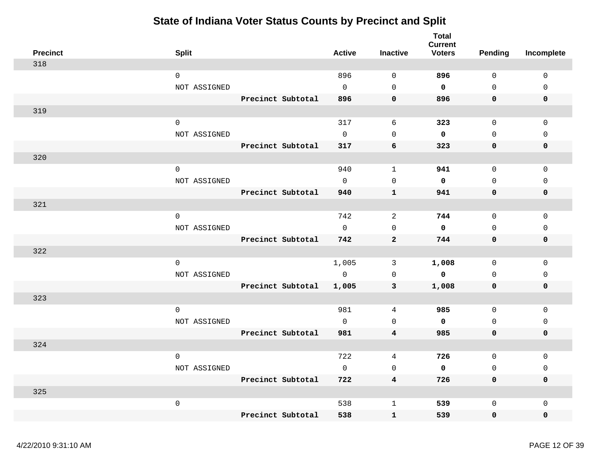| <b>Precinct</b> | <b>Split</b>        |                   | <b>Active</b> | <b>Inactive</b> | <b>Total</b><br><b>Current</b><br><b>Voters</b> | Pending      | Incomplete   |
|-----------------|---------------------|-------------------|---------------|-----------------|-------------------------------------------------|--------------|--------------|
| 318             |                     |                   |               |                 |                                                 |              |              |
|                 | $\mathbf 0$         |                   | 896           | $\mathbf 0$     | 896                                             | $\mathbf 0$  | $\mathbf 0$  |
|                 | NOT ASSIGNED        |                   | $\Omega$      | $\Omega$        | $\mathbf 0$                                     | $\Omega$     | $\Omega$     |
|                 |                     | Precinct Subtotal | 896           | $\mathbf 0$     | 896                                             | $\mathbf 0$  | $\mathbf 0$  |
| 319             |                     |                   |               |                 |                                                 |              |              |
|                 | $\mathbf 0$         |                   | 317           | 6               | 323                                             | $\mathbf 0$  | $\mathbf{0}$ |
|                 | NOT ASSIGNED        |                   | $\mathbf 0$   | $\mathbf 0$     | 0                                               | $\mathbf 0$  | $\mathbf 0$  |
|                 |                     | Precinct Subtotal | 317           | 6               | 323                                             | $\mathbf 0$  | $\mathbf 0$  |
| 320             |                     |                   |               |                 |                                                 |              |              |
|                 | $\mathsf{O}\xspace$ |                   | 940           | $\mathbf{1}$    | 941                                             | $\mathbf 0$  | $\mathbf{0}$ |
|                 | NOT ASSIGNED        |                   | $\Omega$      | $\mathbf 0$     | 0                                               | $\mathbf 0$  | $\mathbf{0}$ |
|                 |                     | Precinct Subtotal | 940           | $\mathbf{1}$    | 941                                             | $\mathbf 0$  | 0            |
| 321             |                     |                   |               |                 |                                                 |              |              |
|                 | $\mathsf{O}\xspace$ |                   | 742           | 2               | 744                                             | $\mathbf 0$  | $\mathsf 0$  |
|                 | NOT ASSIGNED        |                   | $\circ$       | $\mathbf 0$     | 0                                               | $\mathbf 0$  | $\mathbf 0$  |
|                 |                     | Precinct Subtotal | 742           | $\overline{a}$  | 744                                             | $\mathbf 0$  | 0            |
| 322             |                     |                   |               |                 |                                                 |              |              |
|                 | $\mathbf 0$         |                   | 1,005         | 3               | 1,008                                           | $\mathbf 0$  | $\mathbf 0$  |
|                 | NOT ASSIGNED        |                   | $\mathsf{O}$  | $\mathbf 0$     | $\mathbf 0$                                     | $\mathbf 0$  | 0            |
|                 |                     | Precinct Subtotal | 1,005         | 3               | 1,008                                           | $\mathbf 0$  | $\mathbf 0$  |
| 323             |                     |                   |               |                 |                                                 |              |              |
|                 | $\mathbf 0$         |                   | 981           | 4               | 985                                             | $\mathbf 0$  | $\mathbf 0$  |
|                 | NOT ASSIGNED        |                   | $\mathbf 0$   | $\mathbf 0$     | $\mathbf 0$                                     | $\mathbf 0$  | 0            |
|                 |                     | Precinct Subtotal | 981           | $\overline{4}$  | 985                                             | $\mathbf 0$  | 0            |
| 324             |                     |                   |               |                 |                                                 |              |              |
|                 | $\mathbf 0$         |                   | 722           | 4               | 726                                             | $\mathbf 0$  | $\Omega$     |
|                 | NOT ASSIGNED        |                   | $\mathbf 0$   | $\mathbf 0$     | $\mathbf 0$                                     | $\mathbf 0$  | 0            |
|                 |                     | Precinct Subtotal | 722           | 4               | 726                                             | $\mathbf 0$  | $\mathbf 0$  |
| 325             |                     |                   |               |                 |                                                 |              |              |
|                 | $\mathsf{O}\xspace$ |                   | 538           | $\mathbf 1$     | 539                                             | $\mathsf{O}$ | $\mathsf 0$  |
|                 |                     | Precinct Subtotal | 538           | $\mathbf 1$     | 539                                             | $\mathbf 0$  | 0            |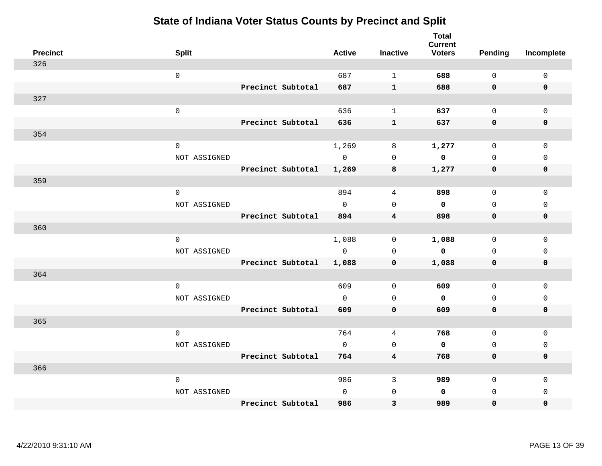|     | <b>Precinct</b> | <b>Split</b>        |                   | <b>Active</b> | <b>Inactive</b>         | <b>Total</b><br><b>Current</b><br><b>Voters</b> | <b>Pending</b> | Incomplete   |
|-----|-----------------|---------------------|-------------------|---------------|-------------------------|-------------------------------------------------|----------------|--------------|
| 326 |                 |                     |                   |               |                         |                                                 |                |              |
|     |                 | $\mathsf 0$         |                   | 687           | $\mathbf{1}$            | 688                                             | $\mathbf 0$    | $\mathbf 0$  |
|     |                 |                     | Precinct Subtotal | 687           | $\mathbf{1}$            | 688                                             | $\mathbf 0$    | $\mathbf 0$  |
| 327 |                 |                     |                   |               |                         |                                                 |                |              |
|     |                 | $\mathsf{O}\xspace$ |                   | 636           | $\mathbf{1}$            | 637                                             | $\mathsf{O}$   | $\Omega$     |
|     |                 |                     | Precinct Subtotal | 636           | $\mathbf 1$             | 637                                             | $\mathbf 0$    | $\pmb{0}$    |
| 354 |                 |                     |                   |               |                         |                                                 |                |              |
|     |                 | $\mathsf 0$         |                   | 1,269         | 8                       | 1,277                                           | $\mathsf{O}$   | $\mathbf 0$  |
|     |                 | NOT ASSIGNED        |                   | $\mathbf 0$   | $\mathbf 0$             | 0                                               | $\mathbf 0$    | $\mathbf{0}$ |
|     |                 |                     | Precinct Subtotal | 1,269         | 8                       | 1,277                                           | 0              | $\mathbf 0$  |
| 359 |                 |                     |                   |               |                         |                                                 |                |              |
|     |                 | $\mathsf{O}\xspace$ |                   | 894           | 4                       | 898                                             | $\mathsf{O}$   | $\mathsf 0$  |
|     |                 | NOT ASSIGNED        |                   | $\mathbf 0$   | $\mathbf 0$             | $\mathbf 0$                                     | $\mathbf 0$    | $\mathbf{0}$ |
|     |                 |                     | Precinct Subtotal | 894           | $\overline{\mathbf{4}}$ | 898                                             | $\mathbf 0$    | $\mathbf 0$  |
| 360 |                 |                     |                   |               |                         |                                                 |                |              |
|     |                 | $\mathbf 0$         |                   | 1,088         | 0                       | 1,088                                           | 0              | 0            |
|     |                 | NOT ASSIGNED        |                   | $\Omega$      | $\mathbf 0$             | 0                                               | $\mathbf 0$    | $\mathbf 0$  |
|     |                 |                     | Precinct Subtotal | 1,088         | $\mathbf 0$             | 1,088                                           | $\mathbf 0$    | $\pmb{0}$    |
| 364 |                 |                     |                   |               |                         |                                                 |                |              |
|     |                 | $\mathbf 0$         |                   | 609           | $\mathbf 0$             | 609                                             | $\mathbf 0$    | $\mathbf 0$  |
|     |                 | NOT ASSIGNED        |                   | $\mathbf 0$   | $\mathsf 0$             | 0                                               | $\mathbf 0$    | $\mathsf 0$  |
|     |                 |                     | Precinct Subtotal | 609           | $\mathbf 0$             | 609                                             | $\mathbf 0$    | $\mathbf 0$  |
| 365 |                 |                     |                   |               |                         |                                                 |                |              |
|     |                 | $\mathbf 0$         |                   | 764           | 4                       | 768                                             | $\mathbf 0$    | $\mathsf 0$  |
|     |                 | NOT ASSIGNED        |                   | $\mathbf 0$   | $\mathbf 0$             | 0                                               | $\mathbf 0$    | $\mathbf 0$  |
|     |                 |                     | Precinct Subtotal | 764           | 4                       | 768                                             | $\mathbf 0$    | 0            |
| 366 |                 |                     |                   |               |                         |                                                 |                |              |
|     |                 | 0                   |                   | 986           | 3                       | 989                                             | $\mathbf 0$    | $\mathbf 0$  |
|     |                 | NOT ASSIGNED        |                   | $\mathbf 0$   | $\mathbf 0$             | 0                                               | $\mathbf 0$    | $\mathbf 0$  |
|     |                 |                     | Precinct Subtotal | 986           | 3                       | 989                                             | 0              | 0            |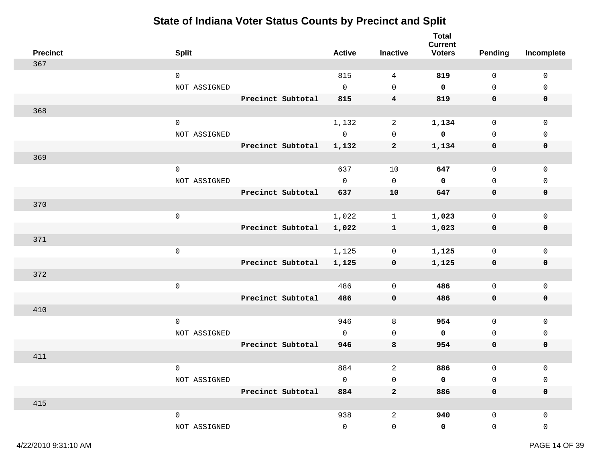| <b>Precinct</b> | <b>Split</b>        |                   | <b>Active</b> | <b>Inactive</b>     | <b>Total</b><br><b>Current</b><br><b>Voters</b> | <b>Pending</b>      | Incomplete   |
|-----------------|---------------------|-------------------|---------------|---------------------|-------------------------------------------------|---------------------|--------------|
| 367             |                     |                   |               |                     |                                                 |                     |              |
|                 | $\mathbf 0$         |                   | 815           | $\overline{4}$      | 819                                             | $\mathsf{O}\xspace$ | $\mathsf 0$  |
|                 | NOT ASSIGNED        |                   | $\mathbf 0$   | $\mathbf 0$         | $\mathbf 0$                                     | $\mathbf 0$         | $\mathbf{0}$ |
|                 |                     | Precinct Subtotal | 815           | $\overline{4}$      | 819                                             | 0                   | $\mathbf 0$  |
| 368             |                     |                   |               |                     |                                                 |                     |              |
|                 | $\mathsf{O}\xspace$ |                   | 1,132         | 2                   | 1,134                                           | $\mathsf{O}$        | $\mathbf 0$  |
|                 | NOT ASSIGNED        |                   | $\mathsf{O}$  | $\mathbf 0$         | $\mathbf 0$                                     | $\mathbf 0$         | 0            |
|                 |                     | Precinct Subtotal | 1,132         | $\mathbf{2}$        | 1,134                                           | 0                   | 0            |
| 369             |                     |                   |               |                     |                                                 |                     |              |
|                 | $\mathbf 0$         |                   | 637           | 10                  | 647                                             | $\mathsf{O}\xspace$ | $\mathsf 0$  |
|                 | NOT ASSIGNED        |                   | $\mathbf 0$   | $\mathsf{O}\xspace$ | $\mathbf 0$                                     | $\mathsf{O}\xspace$ | 0            |
|                 |                     | Precinct Subtotal | 637           | ${\bf 10}$          | 647                                             | 0                   | $\pmb{0}$    |
| 370             |                     |                   |               |                     |                                                 |                     |              |
|                 | $\mathsf{O}\xspace$ |                   | 1,022         | $\mathbf{1}$        | 1,023                                           | $\mathbf 0$         | $\mathbf 0$  |
|                 |                     | Precinct Subtotal | 1,022         | $\mathbf{1}$        | 1,023                                           | 0                   | 0            |
| 371             |                     |                   |               |                     |                                                 |                     |              |
|                 | $\mathbf 0$         |                   | 1,125         | 0                   | 1,125                                           | $\mathsf{O}$        | $\mathbf 0$  |
|                 |                     | Precinct Subtotal | 1,125         | 0                   | 1,125                                           | 0                   | 0            |
| 372             |                     |                   |               |                     |                                                 |                     |              |
|                 | $\mathsf{O}\xspace$ |                   | 486           | $\mathbf 0$         | 486                                             | $\mathsf{O}$        | $\mathsf 0$  |
|                 |                     | Precinct Subtotal | 486           | $\mathbf 0$         | 486                                             | 0                   | $\mathbf 0$  |
| 410             |                     |                   |               |                     |                                                 |                     |              |
|                 | $\mathbf 0$         |                   | 946           | 8                   | 954                                             | $\mathbf 0$         | $\mathbf 0$  |
|                 | NOT ASSIGNED        |                   | $\Omega$      | $\mathbf 0$         | $\mathbf 0$                                     | $\mathbf 0$         | $\mathbf{0}$ |
|                 |                     | Precinct Subtotal | 946           | 8                   | 954                                             | $\mathbf 0$         | $\mathbf 0$  |
| 411             |                     |                   |               |                     |                                                 |                     |              |
|                 | $\mathbf 0$         |                   | 884           | 2                   | 886                                             | $\mathsf{O}$        | $\mathbf 0$  |
|                 | NOT ASSIGNED        |                   | $\mathbf 0$   | $\mathbf 0$         | 0                                               | $\mathsf{O}$        | $\mathsf 0$  |
|                 |                     | Precinct Subtotal | 884           | $\overline{a}$      | 886                                             | $\mathbf 0$         | $\mathbf 0$  |
| 415             |                     |                   |               |                     |                                                 |                     |              |
|                 | $\mathsf{O}\xspace$ |                   | 938           | $\overline{c}$      | 940                                             | $\mathsf{O}$        | 0            |
|                 | NOT ASSIGNED        |                   | $\Omega$      | $\mathsf{O}$        | 0                                               | $\mathsf{O}$        | 0            |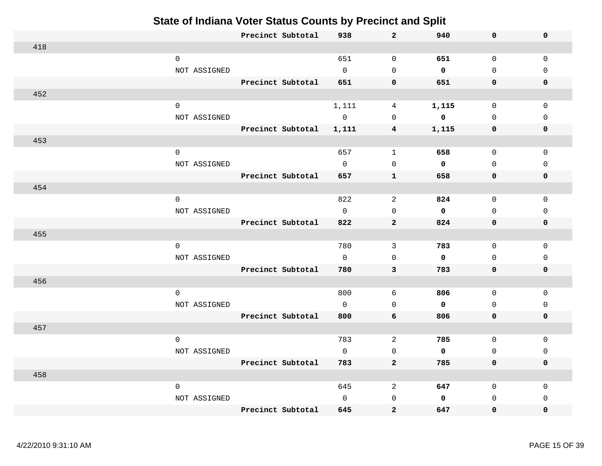|     | Precinct Subtotal   | 938         | $\mathbf{2}$     | 940         | 0            | $\mathbf 0$  |
|-----|---------------------|-------------|------------------|-------------|--------------|--------------|
| 418 |                     |             |                  |             |              |              |
|     | $\mathsf{O}$        | 651         | $\mathbf 0$      | 651         | $\mathbf 0$  | $\mathbf 0$  |
|     | NOT ASSIGNED        | $\mathbf 0$ | $\Omega$         | $\mathbf 0$ | $\mathbf{0}$ | $\Omega$     |
|     | Precinct Subtotal   | 651         | $\pmb{0}$        | 651         | 0            | $\mathbf 0$  |
| 452 |                     |             |                  |             |              |              |
|     | $\mathsf{O}\xspace$ | 1,111       | 4                | 1,115       | $\mathbf 0$  | $\mathbf 0$  |
|     | NOT ASSIGNED        | $\mathbf 0$ | $\mathbf 0$      | $\mathbf 0$ | $\mathbf 0$  | $\mathbf 0$  |
|     | Precinct Subtotal   | 1,111       | 4                | 1,115       | 0            | $\mathbf 0$  |
| 453 |                     |             |                  |             |              |              |
|     | $\mathsf{O}$        | 657         | $\mathbf{1}$     | 658         | 0            | $\mathsf 0$  |
|     | NOT ASSIGNED        | $\Omega$    | $\mathbf{0}$     | $\mathbf 0$ | $\mathbf 0$  | $\Omega$     |
|     | Precinct Subtotal   | 657         | $\mathbf{1}$     | 658         | 0            | $\mathbf 0$  |
| 454 |                     |             |                  |             |              |              |
|     | 0                   | 822         | 2                | 824         | $\mathbf 0$  | $\mathbf 0$  |
|     | NOT ASSIGNED        | $\mathbf 0$ | $\mathbf{0}$     | $\mathbf 0$ | $\mathbf{0}$ | $\mathbf{0}$ |
|     | Precinct Subtotal   | 822         | $\overline{a}$   | 824         | 0            | $\mathbf 0$  |
| 455 |                     |             |                  |             |              |              |
|     | $\mathbf 0$         | 780         | $\mathbf{3}$     | 783         | $\mathbf 0$  | $\mathbf 0$  |
|     | NOT ASSIGNED        | $\mathbf 0$ | $\mathbf 0$      | $\mathbf 0$ | $\mathbf 0$  | $\Omega$     |
|     | Precinct Subtotal   | 780         | 3                | 783         | 0            | $\mathbf 0$  |
| 456 |                     |             |                  |             |              |              |
|     | $\mathbf 0$         | 800         | 6                | 806         | $\mathbf 0$  | $\mathbf{0}$ |
|     | NOT ASSIGNED        | $\Omega$    | $\Omega$         | $\mathbf 0$ | $\mathbf 0$  | $\mathbf 0$  |
|     | Precinct Subtotal   | 800         | $\boldsymbol{6}$ | 806         | 0            | $\mathbf 0$  |
| 457 |                     |             |                  |             |              |              |
|     | $\mathsf{O}$        | 783         | 2                | 785         | $\mathbf 0$  | $\mathbf 0$  |
|     | NOT ASSIGNED        | $\Omega$    | $\mathbf 0$      | $\mathbf 0$ | $\mathbf 0$  | $\Omega$     |
|     | Precinct Subtotal   | 783         | $\overline{2}$   | 785         | 0            | $\mathbf 0$  |
| 458 |                     |             |                  |             |              |              |
|     | $\mathbf 0$         | 645         | 2                | 647         | $\mathbf 0$  | 0            |
|     | NOT ASSIGNED        | $\Omega$    | $\mathbf{0}$     | $\mathbf 0$ | $\mathbf 0$  | $\Omega$     |
|     | Precinct Subtotal   | 645         | $\overline{a}$   | 647         | 0            | 0            |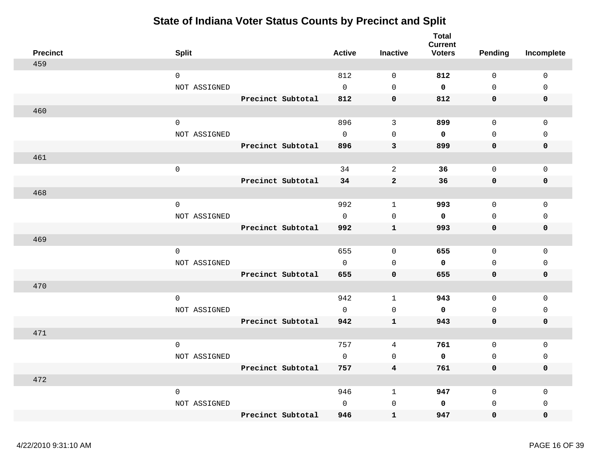| <b>Precinct</b> | <b>Split</b>        |                   | <b>Active</b> | <b>Inactive</b> | <b>Total</b><br><b>Current</b><br><b>Voters</b> | <b>Pending</b>      | Incomplete   |
|-----------------|---------------------|-------------------|---------------|-----------------|-------------------------------------------------|---------------------|--------------|
| 459             |                     |                   |               |                 |                                                 |                     |              |
|                 | $\mathsf{O}$        |                   | 812           | $\mathbf 0$     | 812                                             | $\mathbf 0$         | 0            |
|                 | NOT ASSIGNED        |                   | $\Omega$      | $\mathbf 0$     | 0                                               | $\Omega$            | $\mathbf 0$  |
|                 |                     | Precinct Subtotal | 812           | $\mathbf 0$     | 812                                             | $\mathbf 0$         | 0            |
| 460             |                     |                   |               |                 |                                                 |                     |              |
|                 | $\mathbf 0$         |                   | 896           | $\overline{3}$  | 899                                             | $\mathbf 0$         | $\mathbf{0}$ |
|                 | NOT ASSIGNED        |                   | $\mathbf 0$   | $\mathbf 0$     | 0                                               | $\mathbf 0$         | $\mathsf 0$  |
|                 |                     | Precinct Subtotal | 896           | $\mathbf{3}$    | 899                                             | $\mathbf 0$         | 0            |
| 461             |                     |                   |               |                 |                                                 |                     |              |
|                 | $\mathsf{O}\xspace$ |                   | 34            | 2               | 36                                              | $\mathbf 0$         | $\mathbf 0$  |
|                 |                     | Precinct Subtotal | 34            | $\overline{a}$  | 36                                              | $\mathbf 0$         | 0            |
| 468             |                     |                   |               |                 |                                                 |                     |              |
|                 | $\mathsf{O}$        |                   | 992           | 1               | 993                                             | $\mathbf 0$         | $\mathbf 0$  |
|                 | NOT ASSIGNED        |                   | $\Omega$      | $\mathbf 0$     | 0                                               | $\mathbf 0$         | $\mathbf 0$  |
|                 |                     | Precinct Subtotal | 992           | $\mathbf{1}$    | 993                                             | $\mathbf 0$         | 0            |
| 469             |                     |                   |               |                 |                                                 |                     |              |
|                 | $\mathsf{O}\xspace$ |                   | 655           | 0               | 655                                             | 0                   | 0            |
|                 | NOT ASSIGNED        |                   | $\mathsf{O}$  | $\mathbf 0$     | 0                                               | $\mathbf 0$         | $\mathbf 0$  |
|                 |                     | Precinct Subtotal | 655           | $\mathbf 0$     | 655                                             | $\mathsf{O}\xspace$ | 0            |
| 470             |                     |                   |               |                 |                                                 |                     |              |
|                 | $\mathsf{O}$        |                   | 942           | $\mathbf{1}$    | 943                                             | $\mathsf{O}$        | 0            |
|                 | NOT ASSIGNED        |                   | $\Omega$      | $\mathbf 0$     | $\mathbf 0$                                     | $\Omega$            | $\mathsf 0$  |
|                 |                     | Precinct Subtotal | 942           | $\mathbf{1}$    | 943                                             | $\mathsf{O}\xspace$ | 0            |
| 471             |                     |                   |               |                 |                                                 |                     |              |
|                 | $\mathsf{O}$        |                   | 757           | 4               | 761                                             | $\mathsf{O}$        | $\mathbf 0$  |
|                 | NOT ASSIGNED        |                   | $\Omega$      | $\mathbf 0$     | 0                                               | $\mathbf 0$         | $\mathbf 0$  |
|                 |                     | Precinct Subtotal | 757           | $\overline{4}$  | 761                                             | 0                   | 0            |
| 472             |                     |                   |               |                 |                                                 |                     |              |
|                 | $\mathsf{O}$        |                   | 946           | $\mathbf{1}$    | 947                                             | 0                   | $\mathbf 0$  |
|                 | NOT ASSIGNED        |                   | $\mathbf 0$   | $\mathsf{O}$    | 0                                               | $\mathbf 0$         | $\mathbf 0$  |
|                 |                     | Precinct Subtotal | 946           | $\mathbf{1}$    | 947                                             | 0                   | 0            |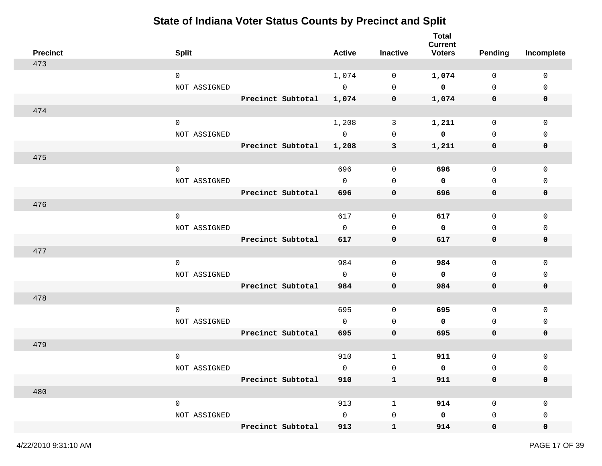| <b>Precinct</b> | <b>Split</b> |                   | <b>Active</b>  | <b>Inactive</b> | <b>Total</b><br><b>Current</b><br><b>Voters</b> | <b>Pending</b>      | Incomplete   |
|-----------------|--------------|-------------------|----------------|-----------------|-------------------------------------------------|---------------------|--------------|
| 473             |              |                   |                |                 |                                                 |                     |              |
|                 | $\mathbf 0$  |                   | 1,074          | 0               | 1,074                                           | 0                   | $\mathbf 0$  |
|                 | NOT ASSIGNED |                   | $\mathbf 0$    | $\mathbf 0$     | $\mathbf 0$                                     | $\mathbf 0$         | 0            |
|                 |              | Precinct Subtotal | 1,074          | 0               | 1,074                                           | 0                   | 0            |
| 474             |              |                   |                |                 |                                                 |                     |              |
|                 | $\mathbf 0$  |                   | 1,208          | 3               | 1,211                                           | $\mathsf{O}$        | $\mathsf 0$  |
|                 | NOT ASSIGNED |                   | $\overline{0}$ | 0               | 0                                               | $\mathbf 0$         | $\mathbf{0}$ |
|                 |              | Precinct Subtotal | 1,208          | $\mathbf{3}$    | 1,211                                           | 0                   | 0            |
| 475             |              |                   |                |                 |                                                 |                     |              |
|                 | $\mathsf{O}$ |                   | 696            | $\mathbf 0$     | 696                                             | $\mathsf{O}$        | $\mathbf 0$  |
|                 | NOT ASSIGNED |                   | $\mathbf{0}$   | $\mathbf 0$     | $\mathbf 0$                                     | $\mathbf 0$         | 0            |
|                 |              | Precinct Subtotal | 696            | 0               | 696                                             | 0                   | 0            |
| 476             |              |                   |                |                 |                                                 |                     |              |
|                 | $\mathbf 0$  |                   | 617            | 0               | 617                                             | 0                   | 0            |
|                 | NOT ASSIGNED |                   | $\mathbf 0$    | $\mathbf 0$     | 0                                               | 0                   | 0            |
|                 |              | Precinct Subtotal | 617            | 0               | 617                                             | 0                   | 0            |
| 477             |              |                   |                |                 |                                                 |                     |              |
|                 | $\mathbf 0$  |                   | 984            | 0               | 984                                             | $\mathsf{O}$        | $\mathbf 0$  |
|                 | NOT ASSIGNED |                   | $\mathbf 0$    | 0               | $\mathbf 0$                                     | 0                   | 0            |
|                 |              | Precinct Subtotal | 984            | $\mathbf 0$     | 984                                             | 0                   | 0            |
| 478             |              |                   |                |                 |                                                 |                     |              |
|                 | $\mathbf 0$  |                   | 695            | 0               | 695                                             | 0                   | 0            |
|                 | NOT ASSIGNED |                   | $\mathbf{0}$   | 0               | 0                                               | 0                   | 0            |
|                 |              | Precinct Subtotal | 695            | $\mathbf 0$     | 695                                             | 0                   | 0            |
| 479             |              |                   |                |                 |                                                 |                     |              |
|                 | $\mathbf 0$  |                   | 910            | 1               | 911                                             | $\mathsf{O}\xspace$ | 0            |
|                 | NOT ASSIGNED |                   | 0              | 0               | 0                                               | $\mathsf 0$         | 0            |
|                 |              | Precinct Subtotal | 910            | $\mathbf{1}$    | 911                                             | $\mathbf 0$         | $\mathbf 0$  |
| 480             |              |                   |                |                 |                                                 |                     |              |
|                 | $\mathsf{O}$ |                   | 913            | $\mathbf 1$     | 914                                             | $\mathsf{O}$        | $\mathbf 0$  |
|                 | NOT ASSIGNED |                   | $\mathsf{O}$   | $\mathbf 0$     | $\mathbf 0$                                     | 0                   | 0            |
|                 |              | Precinct Subtotal | 913            | $\mathbf{1}$    | 914                                             | $\mathbf 0$         | 0            |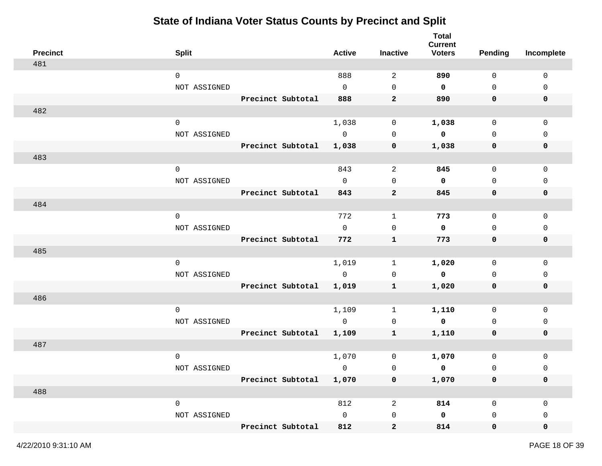| <b>Precinct</b> | <b>Split</b> |                         | <b>Active</b> | <b>Inactive</b> | <b>Total</b><br><b>Current</b><br><b>Voters</b> | <b>Pending</b>      | Incomplete   |
|-----------------|--------------|-------------------------|---------------|-----------------|-------------------------------------------------|---------------------|--------------|
| 481             |              |                         |               |                 |                                                 |                     |              |
|                 | $\mathbf 0$  |                         | 888           | 2               | 890                                             | $\mathbf 0$         | $\mathbf 0$  |
|                 | NOT ASSIGNED |                         | $\mathbf 0$   | $\mathbf 0$     | 0                                               | $\mathsf{O}$        | 0            |
|                 |              | Precinct Subtotal       | 888           | $\mathbf{2}$    | 890                                             | 0                   | 0            |
| 482             |              |                         |               |                 |                                                 |                     |              |
|                 | $\mathbf 0$  |                         | 1,038         | 0               | 1,038                                           | $\mathsf{O}$        | $\mathsf 0$  |
|                 | NOT ASSIGNED |                         | $\mathsf{O}$  | $\mathbf 0$     | 0                                               | $\mathbf 0$         | $\mathbf{0}$ |
|                 |              | Precinct Subtotal       | 1,038         | $\mathbf 0$     | 1,038                                           | 0                   | 0            |
| 483             |              |                         |               |                 |                                                 |                     |              |
|                 | $\mathsf{O}$ |                         | 843           | 2               | 845                                             | $\mathsf{O}$        | $\mathbf 0$  |
|                 | NOT ASSIGNED |                         | $\mathbf 0$   | $\mathbf 0$     | 0                                               | $\mathbf 0$         | $\mathbf{0}$ |
|                 |              | Precinct Subtotal       | 843           | $\mathbf{2}$    | 845                                             | 0                   | 0            |
| 484             |              |                         |               |                 |                                                 |                     |              |
|                 | $\mathbf 0$  |                         | 772           | $\mathbf{1}$    | 773                                             | 0                   | 0            |
|                 | NOT ASSIGNED |                         | $\mathbf 0$   | $\mathbf 0$     | 0                                               | 0                   | 0            |
|                 |              | Precinct Subtotal       | 772           | $\mathbf{1}$    | 773                                             | 0                   | 0            |
| 485             |              |                         |               |                 |                                                 |                     |              |
|                 | $\mathbf 0$  |                         | 1,019         | 1               | 1,020                                           | 0                   | $\mathbf 0$  |
|                 | NOT ASSIGNED |                         | $\mathbf 0$   | 0               | $\mathbf 0$                                     | 0                   | 0            |
|                 |              | Precinct Subtotal       | 1,019         | $\mathbf{1}$    | 1,020                                           | 0                   | 0            |
| 486             |              |                         |               |                 |                                                 |                     |              |
|                 | $\mathbf 0$  |                         | 1,109         | 1               | 1,110                                           | 0                   | 0            |
|                 | NOT ASSIGNED |                         | $\mathsf{O}$  | 0               | 0                                               | 0                   | 0            |
|                 |              | Precinct Subtotal       | 1,109         | $\mathbf{1}$    | 1,110                                           | 0                   | 0            |
| 487             |              |                         |               |                 |                                                 |                     |              |
|                 | $\mathbf 0$  |                         | 1,070         | 0               | 1,070                                           | $\mathsf{O}\xspace$ | 0            |
|                 | NOT ASSIGNED |                         | $\mathbf 0$   | $\mathsf{O}$    | $\mathsf{o}\,$                                  | $\mathsf 0$         | 0            |
|                 |              | Precinct Subtotal 1,070 |               | 0               | 1,070                                           | $\mathbf 0$         | 0            |
| 488             |              |                         |               |                 |                                                 |                     |              |
|                 | $\mathsf{O}$ |                         | 812           | $\sqrt{2}$      | 814                                             | $\mathsf{O}$        | $\mathbf 0$  |
|                 | NOT ASSIGNED |                         | $\mathsf{O}$  | $\mathsf{O}$    | $\mathbf 0$                                     | 0                   | 0            |
|                 |              | Precinct Subtotal       | 812           | $\mathbf{2}$    | 814                                             | $\mathbf 0$         | 0            |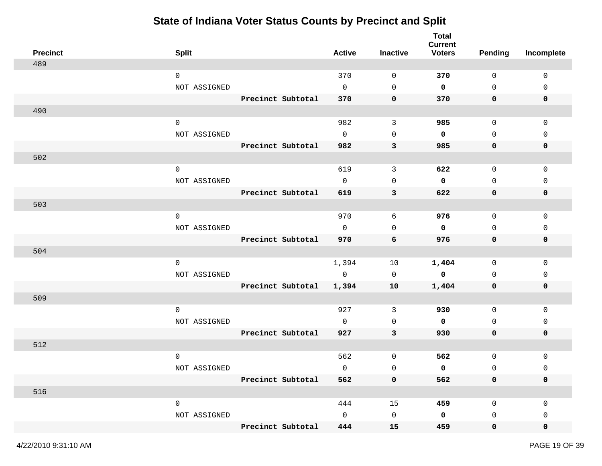| <b>Precinct</b> | <b>Split</b>        |                   | <b>Active</b> | Inactive     | <b>Total</b><br><b>Current</b><br><b>Voters</b> | <b>Pending</b>      | Incomplete  |
|-----------------|---------------------|-------------------|---------------|--------------|-------------------------------------------------|---------------------|-------------|
| 489             |                     |                   |               |              |                                                 |                     |             |
|                 | $\mathbf 0$         |                   | 370           | 0            | 370                                             | $\mathbf 0$         | $\mathbf 0$ |
|                 | NOT ASSIGNED        |                   | 0             | 0            | $\mathbf 0$                                     | $\mathsf{O}\xspace$ | 0           |
|                 |                     | Precinct Subtotal | 370           | 0            | 370                                             | 0                   | 0           |
| 490             |                     |                   |               |              |                                                 |                     |             |
|                 | $\mathsf{O}\xspace$ |                   | 982           | $\mathbf{3}$ | 985                                             | $\mathsf{O}$        | 0           |
|                 | NOT ASSIGNED        |                   | $\mathbf 0$   | 0            | 0                                               | $\mathbf 0$         | 0           |
|                 |                     | Precinct Subtotal | 982           | 3            | 985                                             | 0                   | 0           |
| 502             |                     |                   |               |              |                                                 |                     |             |
|                 | $\mathsf 0$         |                   | 619           | $\mathbf{3}$ | 622                                             | $\mathsf{O}\xspace$ | $\mathsf 0$ |
|                 | NOT ASSIGNED        |                   | $\mathbf 0$   | 0            | 0                                               | $\mathbf 0$         | 0           |
|                 |                     | Precinct Subtotal | 619           | 3            | 622                                             | 0                   | 0           |
| 503             |                     |                   |               |              |                                                 |                     |             |
|                 | $\mathsf{O}$        |                   | 970           | 6            | 976                                             | 0                   | 0           |
|                 | NOT ASSIGNED        |                   | $\mathbf 0$   | 0            | 0                                               | 0                   | 0           |
|                 |                     | Precinct Subtotal | 970           | 6            | 976                                             | 0                   | 0           |
| 504             |                     |                   |               |              |                                                 |                     |             |
|                 | $\mathbf 0$         |                   | 1,394         | 10           | 1,404                                           | $\mathbf 0$         | 0           |
|                 | NOT ASSIGNED        |                   | $\mathbf 0$   | 0            | $\mathsf{o}\,$                                  | 0                   | 0           |
|                 |                     | Precinct Subtotal | 1,394         | 10           | 1,404                                           | 0                   | 0           |
| 509             |                     |                   |               |              |                                                 |                     |             |
|                 | $\mathbf 0$         |                   | 927           | 3            | 930                                             | $\mathsf{O}$        | $\mathbf 0$ |
|                 | NOT ASSIGNED        |                   | $\mathbf 0$   | 0            | 0                                               | 0                   | 0           |
|                 |                     | Precinct Subtotal | 927           | 3            | 930                                             | 0                   | 0           |
| 512             |                     |                   |               |              |                                                 |                     |             |
|                 | $\mathbf 0$         |                   | 562           | 0            | 562                                             | $\mathsf{O}$        | 0           |
|                 | NOT ASSIGNED        |                   | $\mathbf 0$   | 0            | 0                                               | 0                   | 0           |
|                 |                     | Precinct Subtotal | 562           | 0            | 562                                             | 0                   | 0           |
| 516             |                     |                   |               |              |                                                 |                     |             |
|                 | $\mathsf{O}\xspace$ |                   | 444           | 15           | 459                                             | $\mathsf{O}$        | 0           |
|                 | NOT ASSIGNED        |                   | $\mathsf{O}$  | $\mathsf 0$  | $\mathbf 0$                                     | 0                   | 0           |
|                 |                     | Precinct Subtotal | 444           | 15           | 459                                             | $\mathbf 0$         | 0           |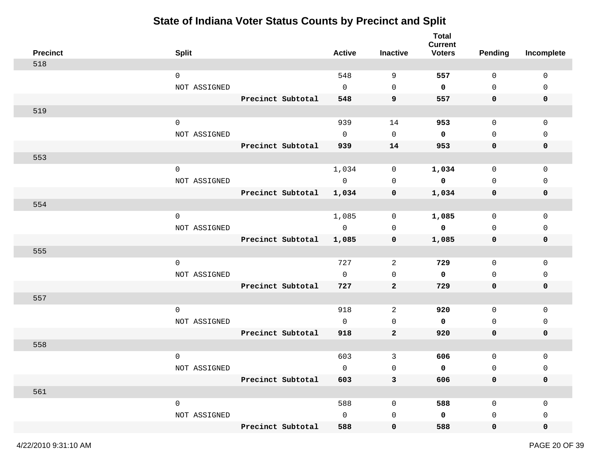| <b>Precinct</b> | <b>Split</b> |                   | <b>Active</b> | <b>Inactive</b> | <b>Total</b><br><b>Current</b><br><b>Voters</b> | <b>Pending</b> | Incomplete   |
|-----------------|--------------|-------------------|---------------|-----------------|-------------------------------------------------|----------------|--------------|
| 518             |              |                   |               |                 |                                                 |                |              |
|                 | $\mathbf 0$  |                   | 548           | 9               | 557                                             | $\mathbf 0$    | $\mathbf 0$  |
|                 | NOT ASSIGNED |                   | $\mathbf 0$   | $\mathbf 0$     | $\mathbf 0$                                     | 0              | $\mathbf 0$  |
|                 |              | Precinct Subtotal | 548           | 9               | 557                                             | 0              | 0            |
| 519             |              |                   |               |                 |                                                 |                |              |
|                 | $\mathbf 0$  |                   | 939           | 14              | 953                                             | $\mathbf 0$    | $\mathbf 0$  |
|                 | NOT ASSIGNED |                   | $\mathbf 0$   | $\mathbf 0$     | 0                                               | $\mathbf 0$    | $\Omega$     |
|                 |              | Precinct Subtotal | 939           | 14              | 953                                             | 0              | 0            |
| 553             |              |                   |               |                 |                                                 |                |              |
|                 | $\mathsf{O}$ |                   | 1,034         | $\mathsf{O}$    | 1,034                                           | $\mathsf{O}$   | $\mathbf 0$  |
|                 | NOT ASSIGNED |                   | $\mathsf{O}$  | $\mathbf 0$     | $\mathbf 0$                                     | $\mathbf 0$    | $\Omega$     |
|                 |              | Precinct Subtotal | 1,034         | 0               | 1,034                                           | 0              | 0            |
| 554             |              |                   |               |                 |                                                 |                |              |
|                 | $\mathbf 0$  |                   | 1,085         | 0               | 1,085                                           | $\mathbf 0$    | $\mathbf{0}$ |
|                 | NOT ASSIGNED |                   | $\mathbf 0$   | $\mathbf 0$     | $\mathbf 0$                                     | 0              | 0            |
|                 |              | Precinct Subtotal | 1,085         | 0               | 1,085                                           | 0              | 0            |
| 555             |              |                   |               |                 |                                                 |                |              |
|                 | $\mathbf 0$  |                   | 727           | 2               | 729                                             | $\mathsf{O}$   | $\mathbf 0$  |
|                 | NOT ASSIGNED |                   | 0             | 0               | $\mathbf 0$                                     | 0              | 0            |
|                 |              | Precinct Subtotal | 727           | $\mathbf{2}$    | 729                                             | 0              | 0            |
| 557             |              |                   |               |                 |                                                 |                |              |
|                 | $\mathbf 0$  |                   | 918           | 2               | 920                                             | $\mathbf 0$    | $\mathbf 0$  |
|                 | NOT ASSIGNED |                   | $\mathbf{0}$  | 0               | 0                                               | $\mathbf 0$    | 0            |
|                 |              | Precinct Subtotal | 918           | $\mathbf{2}$    | 920                                             | $\mathbf 0$    | 0            |
| 558             |              |                   |               |                 |                                                 |                |              |
|                 | $\mathbf 0$  |                   | 603           | 3               | 606                                             | $\mathsf{O}$   | 0            |
|                 | NOT ASSIGNED |                   | 0             | 0               | 0                                               | 0              | 0            |
|                 |              | Precinct Subtotal | 603           | 3               | 606                                             | 0              | 0            |
| 561             |              |                   |               |                 |                                                 |                |              |
|                 | $\mathsf{O}$ |                   | 588           | 0               | 588                                             | 0              | 0            |
|                 | NOT ASSIGNED |                   | 0             | $\mathbf 0$     | 0                                               | 0              | 0            |
|                 |              | Precinct Subtotal | 588           | $\mathbf 0$     | 588                                             | $\mathbf 0$    | 0            |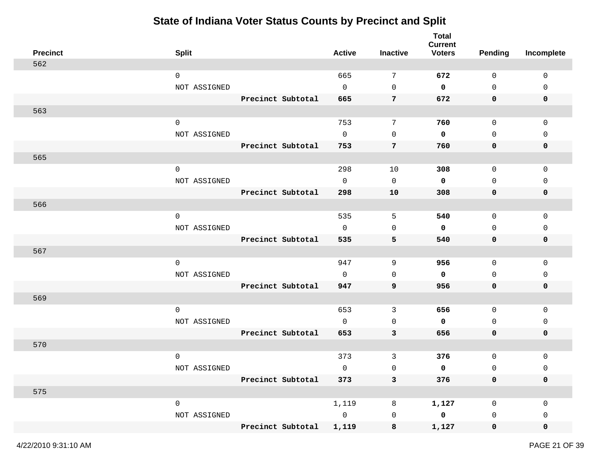| <b>Precinct</b> | <b>Split</b>        |                   | <b>Active</b>  | Inactive       | <b>Total</b><br><b>Current</b><br><b>Voters</b> | <b>Pending</b> | Incomplete  |
|-----------------|---------------------|-------------------|----------------|----------------|-------------------------------------------------|----------------|-------------|
| 562             |                     |                   |                |                |                                                 |                |             |
|                 | $\mathbf 0$         |                   | 665            | 7              | 672                                             | $\mathbf 0$    | $\mathbf 0$ |
|                 | NOT ASSIGNED        |                   | $\mathsf{O}$   | 0              | $\mathbf 0$                                     | $\mathsf 0$    | 0           |
|                 |                     | Precinct Subtotal | 665            | 7              | 672                                             | 0              | 0           |
| 563             |                     |                   |                |                |                                                 |                |             |
|                 | $\mathsf{O}\xspace$ |                   | 753            | 7              | 760                                             | $\mathsf{O}$   | 0           |
|                 | NOT ASSIGNED        |                   | $\mathbf 0$    | 0              | 0                                               | $\mathbf 0$    | 0           |
|                 |                     | Precinct Subtotal | 753            | $\overline{7}$ | 760                                             | 0              | $\mathbf 0$ |
| 565             |                     |                   |                |                |                                                 |                |             |
|                 | $\mathsf 0$         |                   | 298            | 10             | 308                                             | $\mathsf{O}$   | $\mathsf 0$ |
|                 | NOT ASSIGNED        |                   | $\mathbf 0$    | 0              | 0                                               | $\mathbf 0$    | 0           |
|                 |                     | Precinct Subtotal | 298            | 10             | 308                                             | 0              | 0           |
| 566             |                     |                   |                |                |                                                 |                |             |
|                 | $\mathsf{O}$        |                   | 535            | 5              | 540                                             | 0              | 0           |
|                 | NOT ASSIGNED        |                   | $\mathbf 0$    | 0              | 0                                               | 0              | 0           |
|                 |                     | Precinct Subtotal | 535            | 5              | 540                                             | 0              | 0           |
| 567             |                     |                   |                |                |                                                 |                |             |
|                 | $\mathbf 0$         |                   | 947            | 9              | 956                                             | $\mathbf 0$    | 0           |
|                 | NOT ASSIGNED        |                   | 0              | 0              | 0                                               | 0              | 0           |
|                 |                     | Precinct Subtotal | 947            | 9              | 956                                             | 0              | 0           |
| 569             |                     |                   |                |                |                                                 |                |             |
|                 | $\mathbf 0$         |                   | 653            | 3              | 656                                             | $\mathsf{O}$   | $\mathbf 0$ |
|                 | NOT ASSIGNED        |                   | $\mathbf 0$    | 0              | 0                                               | $\mathbf 0$    | 0           |
|                 |                     | Precinct Subtotal | 653            | 3              | 656                                             | 0              | 0           |
| 570             |                     |                   |                |                |                                                 |                |             |
|                 | $\mathbf 0$         |                   | 373            | 3              | 376                                             | $\mathsf{O}$   | 0           |
|                 | NOT ASSIGNED        |                   | 0              | 0              | 0                                               | 0              | 0           |
|                 |                     | Precinct Subtotal | 373            | 3              | 376                                             | 0              | 0           |
| 575             |                     |                   |                |                |                                                 |                |             |
|                 | $\mathsf{O}\xspace$ |                   | 1,119          | 8              | 1,127                                           | 0              | 0           |
|                 | NOT ASSIGNED        |                   | $\overline{0}$ | 0              | $\pmb{0}$                                       | 0              | 0           |
|                 |                     | Precinct Subtotal | 1,119          | 8              | 1,127                                           | $\mathbf 0$    | 0           |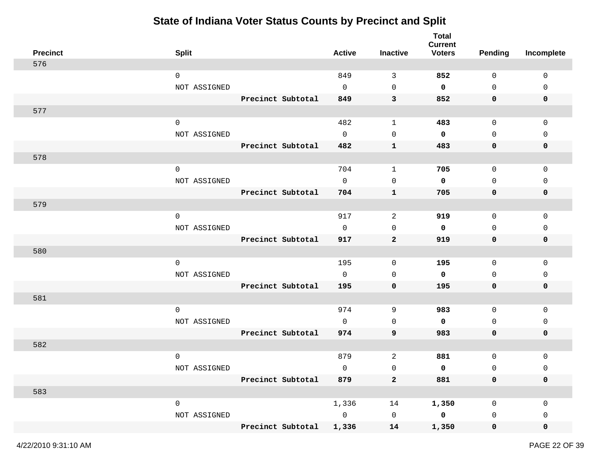| <b>Precinct</b> | <b>Split</b> |                   | <b>Active</b>  | Inactive            | <b>Total</b><br><b>Current</b><br><b>Voters</b> | <b>Pending</b>      | Incomplete   |
|-----------------|--------------|-------------------|----------------|---------------------|-------------------------------------------------|---------------------|--------------|
| 576             |              |                   |                |                     |                                                 |                     |              |
|                 | $\mathbf 0$  |                   | 849            | 3                   | 852                                             | 0                   | $\mathbf 0$  |
|                 | NOT ASSIGNED |                   | $\mathbf 0$    | $\mathbf 0$         | 0                                               | $\mathsf{O}$        | 0            |
|                 |              | Precinct Subtotal | 849            | 3                   | 852                                             | 0                   | 0            |
| 577             |              |                   |                |                     |                                                 |                     |              |
|                 | $\mathbf 0$  |                   | 482            | $\mathbf{1}$        | 483                                             | $\mathsf{O}$        | $\mathbf 0$  |
|                 | NOT ASSIGNED |                   | $\mathbf 0$    | 0                   | $\mathbf 0$                                     | $\mathbf 0$         | $\mathbf{0}$ |
|                 |              | Precinct Subtotal | 482            | $\mathbf{1}$        | 483                                             | 0                   | 0            |
| 578             |              |                   |                |                     |                                                 |                     |              |
|                 | $\mathsf{O}$ |                   | 704            | $\mathbf{1}$        | 705                                             | $\mathsf{O}$        | 0            |
|                 | NOT ASSIGNED |                   | $\mathbf 0$    | $\mathbf 0$         | 0                                               | $\mathbf 0$         | 0            |
|                 |              | Precinct Subtotal | 704            | $\mathbf{1}$        | 705                                             | 0                   | 0            |
| 579             |              |                   |                |                     |                                                 |                     |              |
|                 | $\mathbf 0$  |                   | 917            | 2                   | 919                                             | 0                   | 0            |
|                 | NOT ASSIGNED |                   | $\mathbf 0$    | 0                   | 0                                               | 0                   | 0            |
|                 |              | Precinct Subtotal | 917            | $\mathbf{2}$        | 919                                             | 0                   | 0            |
| 580             |              |                   |                |                     |                                                 |                     |              |
|                 | $\mathbf 0$  |                   | 195            | 0                   | 195                                             | $\mathbf 0$         | $\mathbf 0$  |
|                 | NOT ASSIGNED |                   | $\mathsf{O}$   | 0                   | 0                                               | 0                   | 0            |
|                 |              | Precinct Subtotal | 195            | 0                   | 195                                             | 0                   | 0            |
| 581             |              |                   |                |                     |                                                 |                     |              |
|                 | $\mathbf 0$  |                   | 974            | 9                   | 983                                             | 0                   | 0            |
|                 | NOT ASSIGNED |                   | $\mathbf 0$    | 0                   | 0                                               | 0                   | 0            |
|                 |              | Precinct Subtotal | 974            | 9                   | 983                                             | 0                   | 0            |
| 582             |              |                   |                |                     |                                                 |                     |              |
|                 | $\mathbf 0$  |                   | 879            | $\overline{c}$      | 881                                             | $\mathsf{O}\xspace$ | 0            |
|                 | NOT ASSIGNED |                   | $\mathbf 0$    | $\mathsf 0$         | 0                                               | $\mathsf 0$         | 0            |
|                 |              | Precinct Subtotal | 879            | $\mathbf{2}$        | 881                                             | 0                   | 0            |
| 583             |              |                   |                |                     |                                                 |                     |              |
|                 | $\mathsf{O}$ |                   | 1,336          | 14                  | 1,350                                           | 0                   | $\mathbf 0$  |
|                 | NOT ASSIGNED |                   | $\overline{0}$ | $\mathsf{O}\xspace$ | $\overline{\mathbf{0}}$                         | 0                   | 0            |
|                 |              | Precinct Subtotal | 1,336          | 14                  | 1,350                                           | $\mathbf 0$         | 0            |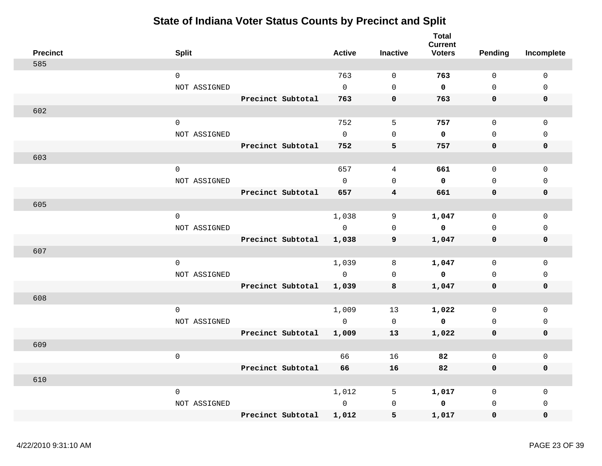|     | <b>Precinct</b> | <b>Split</b>        |                   | <b>Active</b> | <b>Inactive</b> | <b>Total</b><br><b>Current</b><br><b>Voters</b> | Pending     | Incomplete   |
|-----|-----------------|---------------------|-------------------|---------------|-----------------|-------------------------------------------------|-------------|--------------|
| 585 |                 |                     |                   |               |                 |                                                 |             |              |
|     |                 | $\mathsf{O}$        |                   | 763           | $\mathbf 0$     | 763                                             | $\mathbf 0$ | $\mathbf 0$  |
|     |                 | NOT ASSIGNED        |                   | $\Omega$      | $\mathbf 0$     | $\mathbf 0$                                     | $\Omega$    | $\Omega$     |
|     |                 |                     | Precinct Subtotal | 763           | $\mathbf 0$     | 763                                             | 0           | $\mathbf 0$  |
| 602 |                 |                     |                   |               |                 |                                                 |             |              |
|     |                 | $\mathbf 0$         |                   | 752           | 5               | 757                                             | $\mathbf 0$ | $\mathbf 0$  |
|     |                 | NOT ASSIGNED        |                   | $\Omega$      | $\mathbf 0$     | 0                                               | $\mathbf 0$ | $\mathbf{0}$ |
|     |                 |                     | Precinct Subtotal | 752           | 5               | 757                                             | 0           | $\mathbf 0$  |
| 603 |                 |                     |                   |               |                 |                                                 |             |              |
|     |                 | $\mathbf 0$         |                   | 657           | 4               | 661                                             | $\Omega$    | $\mathbf 0$  |
|     |                 | NOT ASSIGNED        |                   | $\Omega$      | $\Omega$        | $\mathbf 0$                                     | $\Omega$    | $\Omega$     |
|     |                 |                     | Precinct Subtotal | 657           | $\overline{4}$  | 661                                             | $\mathbf 0$ | $\mathbf 0$  |
| 605 |                 |                     |                   |               |                 |                                                 |             |              |
|     |                 | $\mathbf 0$         |                   | 1,038         | 9               | 1,047                                           | $\mathbf 0$ | $\mathbf 0$  |
|     |                 | NOT ASSIGNED        |                   | $\Omega$      | $\mathbf 0$     | $\mathbf 0$                                     | $\mathbf 0$ | $\mathbf 0$  |
|     |                 |                     | Precinct Subtotal | 1,038         | 9               | 1,047                                           | 0           | $\mathbf 0$  |
| 607 |                 |                     |                   |               |                 |                                                 |             |              |
|     |                 | $\mathsf{O}\xspace$ |                   | 1,039         | 8               | 1,047                                           | $\mathbf 0$ | 0            |
|     |                 | NOT ASSIGNED        |                   | $\Omega$      | $\mathbf 0$     | $\mathbf 0$                                     | $\Omega$    | $\mathbf 0$  |
|     |                 |                     | Precinct Subtotal | 1,039         | 8               | 1,047                                           | 0           | $\mathbf 0$  |
| 608 |                 |                     |                   |               |                 |                                                 |             |              |
|     |                 | $\Omega$            |                   | 1,009         | 13              | 1,022                                           | $\Omega$    | $\mathsf 0$  |
|     |                 | NOT ASSIGNED        |                   | $\Omega$      | $\mathbf 0$     | $\mathbf 0$                                     | $\Omega$    | $\mathsf 0$  |
|     |                 |                     | Precinct Subtotal | 1,009         | 13              | 1,022                                           | $\mathbf 0$ | $\pmb{0}$    |
| 609 |                 |                     |                   |               |                 |                                                 |             |              |
|     |                 | $\mathsf{O}\xspace$ |                   | 66            | 16              | 82                                              | $\mathbf 0$ | $\mathbf 0$  |
|     |                 |                     | Precinct Subtotal | 66            | 16              | 82                                              | 0           | $\mathbf 0$  |
| 610 |                 |                     |                   |               |                 |                                                 |             |              |
|     |                 | 0                   |                   | 1,012         | 5               | 1,017                                           | 0           | $\mathbf 0$  |
|     |                 | NOT ASSIGNED        |                   | $\Omega$      | 0               | 0                                               | $\mathbf 0$ | $\mathbf 0$  |
|     |                 |                     | Precinct Subtotal | 1,012         | 5               | 1,017                                           | $\mathbf 0$ | $\mathbf 0$  |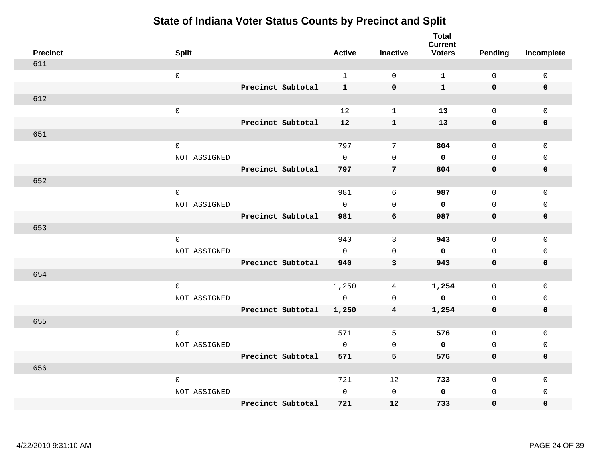| <b>Precinct</b> | <b>Split</b> |                   | <b>Active</b> | <b>Inactive</b>     | <b>Total</b><br><b>Current</b><br><b>Voters</b> | <b>Pending</b> | Incomplete  |
|-----------------|--------------|-------------------|---------------|---------------------|-------------------------------------------------|----------------|-------------|
| 611             |              |                   |               |                     |                                                 |                |             |
|                 | $\mathsf 0$  |                   | $\mathbf{1}$  | $\mathbf 0$         | $\mathbf{1}$                                    | $\mathsf{O}$   | $\mathsf 0$ |
|                 |              | Precinct Subtotal | $\mathbf{1}$  | $\mathbf 0$         | $\mathbf{1}$                                    | $\mathbf 0$    | $\mathbf 0$ |
| 612             |              |                   |               |                     |                                                 |                |             |
|                 | $\mathsf 0$  |                   | 12            | $\mathbf{1}$        | 13                                              | $\mathsf{O}$   | $\mathbf 0$ |
|                 |              | Precinct Subtotal | 12            | $\mathbf{1}$        | 13                                              | $\mathbf 0$    | $\pmb{0}$   |
| 651             |              |                   |               |                     |                                                 |                |             |
|                 | $\mathsf 0$  |                   | 797           | 7                   | 804                                             | $\mathsf{O}$   | $\mathbf 0$ |
|                 | NOT ASSIGNED |                   | $\mathsf{O}$  | $\mathsf{O}\xspace$ | 0                                               | 0              | 0           |
|                 |              | Precinct Subtotal | 797           | 7                   | 804                                             | $\mathbf 0$    | 0           |
| 652             |              |                   |               |                     |                                                 |                |             |
|                 | $\mathsf 0$  |                   | 981           | 6                   | 987                                             | $\mathsf{O}$   | $\mathsf 0$ |
|                 | NOT ASSIGNED |                   | $\mathbf 0$   | $\mathbf 0$         | $\mathbf 0$                                     | $\mathbf 0$    | 0           |
|                 |              | Precinct Subtotal | 981           | 6                   | 987                                             | 0              | 0           |
| 653             |              |                   |               |                     |                                                 |                |             |
|                 | $\mathbf 0$  |                   | 940           | 3                   | 943                                             | $\mathbf 0$    | $\mathbf 0$ |
|                 | NOT ASSIGNED |                   | $\Omega$      | $\mathbf 0$         | $\mathbf 0$                                     | $\mathbf 0$    | $\mathbf 0$ |
|                 |              | Precinct Subtotal | 940           | 3                   | 943                                             | $\mathbf 0$    | $\pmb{0}$   |
| 654             |              |                   |               |                     |                                                 |                |             |
|                 | $\mathbf 0$  |                   | 1,250         | 4                   | 1,254                                           | $\mathbf 0$    | $\mathbf 0$ |
|                 | NOT ASSIGNED |                   | $\mathbf 0$   | $\mathsf{O}\xspace$ | $\mathbf 0$                                     | $\mathbf 0$    | $\mathsf 0$ |
|                 |              | Precinct Subtotal | 1,250         | 4                   | 1,254                                           | $\mathbf 0$    | $\mathbf 0$ |
| 655             |              |                   |               |                     |                                                 |                |             |
|                 | $\mathbf 0$  |                   | 571           | 5                   | 576                                             | $\mathsf{O}$   | $\mathsf 0$ |
|                 | NOT ASSIGNED |                   | $\mathbf 0$   | 0                   | 0                                               | $\mathsf{O}$   | 0           |
|                 |              | Precinct Subtotal | 571           | 5                   | 576                                             | 0              | 0           |
| 656             |              |                   |               |                     |                                                 |                |             |
|                 | $\mathsf 0$  |                   | 721           | 12                  | 733                                             | 0              | 0           |
|                 | NOT ASSIGNED |                   | $\mathbf 0$   | $\mathsf{O}\xspace$ | $\mathbf 0$                                     | $\mathbf 0$    | 0           |
|                 |              | Precinct Subtotal | 721           | 12                  | 733                                             | 0              | 0           |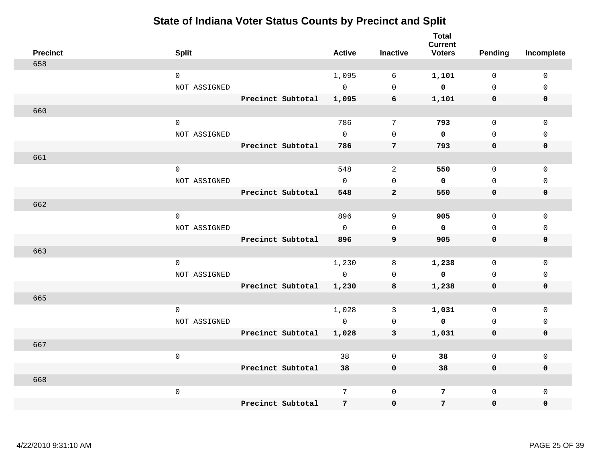| <b>Precinct</b> | <b>Split</b>                        |                   | <b>Active</b>         | <b>Inactive</b> | <b>Total</b><br><b>Current</b><br><b>Voters</b> | <b>Pending</b>              | Incomplete                 |
|-----------------|-------------------------------------|-------------------|-----------------------|-----------------|-------------------------------------------------|-----------------------------|----------------------------|
| 658             |                                     |                   |                       |                 |                                                 |                             |                            |
|                 | $\mathbf 0$                         |                   | 1,095                 | 6               | 1,101                                           | $\mathbf 0$                 | $\mathbf 0$                |
|                 | NOT ASSIGNED                        |                   | $\overline{0}$        | $\mathsf 0$     | $\mathbf 0$                                     | $\Omega$                    | $\mathbf 0$                |
|                 |                                     | Precinct Subtotal | 1,095                 | 6               | 1,101                                           | $\mathbf 0$                 | 0                          |
| 660             |                                     |                   |                       |                 |                                                 |                             |                            |
|                 | $\mathbf 0$                         |                   | 786                   | $7\phantom{.0}$ | 793                                             | $\mathbf 0$                 | $\mathbf 0$                |
|                 | NOT ASSIGNED                        |                   | $\mathbf{0}$          | $\mathbf 0$     | $\mathbf 0$                                     | $\mathbf{0}$                | $\mathbf 0$                |
|                 |                                     | Precinct Subtotal | 786                   | 7               | 793                                             | 0                           | 0                          |
| 661             |                                     |                   |                       |                 |                                                 |                             |                            |
|                 | $\mathbf 0$                         |                   | 548                   | 2               | 550                                             | 0                           | $\mathbf 0$                |
|                 | NOT ASSIGNED                        |                   | $\Omega$              | $\mathbf 0$     | $\mathbf 0$                                     | $\mathbf 0$                 | $\mathbf 0$                |
|                 |                                     | Precinct Subtotal | 548                   | $\mathbf{2}$    | 550                                             | $\mathbf 0$                 | 0                          |
| 662             |                                     |                   |                       |                 |                                                 |                             |                            |
|                 | $\mathbf 0$                         |                   | 896                   | 9               | 905                                             | $\mathbf 0$                 | $\mathbf 0$                |
|                 | NOT ASSIGNED                        |                   | $\mathbf{0}$          | $\mathbf 0$     | $\mathbf 0$                                     | $\mathbf 0$                 | 0                          |
|                 |                                     | Precinct Subtotal | 896                   | 9               | 905                                             | $\mathbf 0$                 | 0                          |
| 663             |                                     |                   |                       |                 |                                                 |                             |                            |
|                 | $\mathsf{O}\xspace$<br>NOT ASSIGNED |                   | 1,230<br>$\mathsf{O}$ | 8<br>0          | 1,238<br>$\mathbf 0$                            | $\mathsf{O}$<br>$\mathbf 0$ | $\mathsf 0$<br>$\mathbf 0$ |
|                 |                                     | Precinct Subtotal | 1,230                 | 8               | 1,238                                           | 0                           | 0                          |
| 665             |                                     |                   |                       |                 |                                                 |                             |                            |
|                 | $\mathbf 0$                         |                   | 1,028                 | 3               | 1,031                                           | 0                           | $\mathbf 0$                |
|                 | NOT ASSIGNED                        |                   | $\mathbf{0}$          | 0               | $\mathbf{0}$                                    | $\Omega$                    | 0                          |
|                 |                                     | Precinct Subtotal | 1,028                 | $\mathbf{3}$    | 1,031                                           | $\mathbf 0$                 | 0                          |
| 667             |                                     |                   |                       |                 |                                                 |                             |                            |
|                 | $\mathsf{O}\xspace$                 |                   | 38                    | $\mathbf 0$     | 38                                              | $\mathbf 0$                 | 0                          |
|                 |                                     | Precinct Subtotal | 38                    | $\mathbf 0$     | 38                                              | $\mathbf 0$                 | $\mathbf 0$                |
| 668             |                                     |                   |                       |                 |                                                 |                             |                            |
|                 | $\mathsf{O}\xspace$                 |                   | 7                     | $\mathbf 0$     | 7                                               | $\mathbf 0$                 | $\mathbf 0$                |
|                 |                                     | Precinct Subtotal | 7                     | $\mathbf 0$     | $7\overline{ }$                                 | $\mathbf 0$                 | $\mathbf 0$                |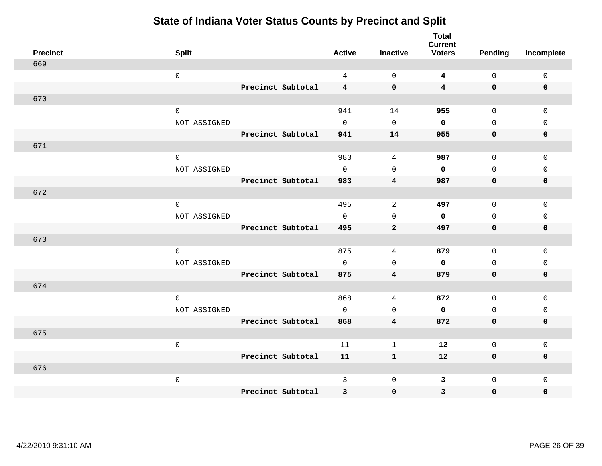|                 |              |                   |                     |                         | <b>Total</b><br><b>Current</b> |                     |              |
|-----------------|--------------|-------------------|---------------------|-------------------------|--------------------------------|---------------------|--------------|
| <b>Precinct</b> | <b>Split</b> |                   | <b>Active</b>       | <b>Inactive</b>         | <b>Voters</b>                  | <b>Pending</b>      | Incomplete   |
| 669             |              |                   |                     |                         |                                |                     |              |
|                 | $\mathsf 0$  |                   | $\overline{4}$      | $\mathbf 0$             | $\overline{\mathbf{4}}$        | $\mathsf{O}$        | $\mathbf 0$  |
|                 |              | Precinct Subtotal | $\overline{4}$      | $\mathbf 0$             | $\overline{\mathbf{4}}$        | $\mathbf 0$         | 0            |
| 670             |              |                   |                     |                         |                                |                     |              |
|                 | $\mathsf 0$  |                   | 941                 | 14                      | 955                            | $\mathbf 0$         | $\mathbf{0}$ |
|                 | NOT ASSIGNED |                   | $\Omega$            | $\Omega$                | $\mathbf 0$                    | $\Omega$            | $\Omega$     |
|                 |              | Precinct Subtotal | 941                 | 14                      | 955                            | $\mathbf 0$         | $\mathbf 0$  |
| 671             |              |                   |                     |                         |                                |                     |              |
|                 | $\mathsf 0$  |                   | 983                 | 4                       | 987                            | $\mathsf{O}\xspace$ | $\mathsf 0$  |
|                 | NOT ASSIGNED |                   | $\mathsf{O}$        | $\mathsf{O}$            | $\mathbf 0$                    | $\mathsf{O}$        | $\mathsf 0$  |
|                 |              | Precinct Subtotal | 983                 | $\overline{\mathbf{4}}$ | 987                            | 0                   | $\mathbf 0$  |
| 672             |              |                   |                     |                         |                                |                     |              |
|                 | $\mathbf 0$  |                   | 495                 | 2                       | 497                            | $\mathbf 0$         | $\mathbf 0$  |
|                 | NOT ASSIGNED |                   | $\mathbf 0$         | $\mathbf 0$             | $\mathbf 0$                    | 0                   | $\mathbf 0$  |
|                 |              | Precinct Subtotal | 495                 | $\mathbf{2}$            | 497                            | $\mathbf 0$         | $\pmb{0}$    |
| 673             |              |                   |                     |                         |                                |                     |              |
|                 | $\mathbf 0$  |                   | 875                 | 4                       | 879                            | $\mathbf 0$         | $\mathbf 0$  |
|                 | NOT ASSIGNED |                   | $\mathbf 0$         | $\mathbf 0$             | $\mathbf 0$                    | $\mathsf{O}$        | $\mathbf 0$  |
|                 |              | Precinct Subtotal | 875                 | $\overline{\mathbf{4}}$ | 879                            | 0                   | 0            |
| 674             |              |                   |                     |                         |                                |                     |              |
|                 | $\mathbf 0$  |                   | 868                 | $\sqrt{4}$              | 872                            | $\mathsf{O}$        | $\mathbf 0$  |
|                 | NOT ASSIGNED |                   | $\mathsf{O}\xspace$ | $\mathbf 0$             | $\mathbf 0$                    | $\mathsf{O}$        | $\mathsf 0$  |
|                 |              | Precinct Subtotal | 868                 | $\overline{\mathbf{4}}$ | 872                            | $\mathbf 0$         | $\mathbf 0$  |
| 675             |              |                   |                     |                         |                                |                     |              |
|                 | $\mathsf 0$  |                   | 11                  | $\mathbf{1}$            | 12                             | $\mathsf{O}$        | $\mathsf 0$  |
|                 |              | Precinct Subtotal | 11                  | $\mathbf{1}$            | 12                             | $\mathbf 0$         | 0            |
| 676             |              |                   |                     |                         |                                |                     |              |
|                 | $\mathsf 0$  |                   | $\mathbf{3}$        | $\mathsf 0$             | $\mathbf{3}$                   | $\mathsf{O}\xspace$ | $\mathsf 0$  |
|                 |              | Precinct Subtotal | 3                   | $\pmb{0}$               | 3                              | $\mathbf 0$         | 0            |
|                 |              |                   |                     |                         |                                |                     |              |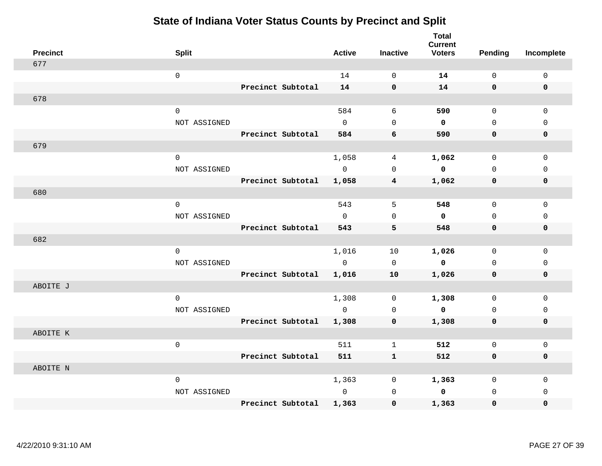| <b>Precinct</b> | <b>Split</b>        |                   | <b>Active</b> | <b>Inactive</b>     | <b>Total</b><br><b>Current</b><br><b>Voters</b> | <b>Pending</b> | Incomplete  |
|-----------------|---------------------|-------------------|---------------|---------------------|-------------------------------------------------|----------------|-------------|
| 677             |                     |                   |               |                     |                                                 |                |             |
|                 | $\mathsf 0$         |                   | 14            | $\mathsf{O}\xspace$ | 14                                              | $\mathsf{O}$   | $\mathsf 0$ |
|                 |                     | Precinct Subtotal | 14            | $\mathbf 0$         | 14                                              | $\mathbf 0$    | $\mathbf 0$ |
| 678             |                     |                   |               |                     |                                                 |                |             |
|                 | $\mathbf 0$         |                   | 584           | 6                   | 590                                             | $\mathbf 0$    | $\mathbf 0$ |
|                 | NOT ASSIGNED        |                   | $\mathbf 0$   | $\mathsf{O}\xspace$ | $\mathbf 0$                                     | $\mathbf 0$    | $\mathsf 0$ |
|                 |                     | Precinct Subtotal | 584           | 6                   | 590                                             | $\mathbf 0$    | 0           |
| 679             |                     |                   |               |                     |                                                 |                |             |
|                 | $\mathbf 0$         |                   | 1,058         | 4                   | 1,062                                           | $\mathbf 0$    | $\mathbf 0$ |
|                 | NOT ASSIGNED        |                   | $\mathsf{O}$  | $\mathbf 0$         | $\mathbf 0$                                     | $\mathbf 0$    | $\mathbf 0$ |
|                 |                     | Precinct Subtotal | 1,058         | 4                   | 1,062                                           | $\mathbf 0$    | $\mathbf 0$ |
| 680             |                     |                   |               |                     |                                                 |                |             |
|                 | $\mathbf 0$         |                   | 543           | 5                   | 548                                             | 0              | 0           |
|                 | NOT ASSIGNED        |                   | $\Omega$      | $\Omega$            | $\mathbf{0}$                                    | $\Omega$       | $\Omega$    |
|                 |                     | Precinct Subtotal | 543           | 5                   | 548                                             | $\mathbf 0$    | $\mathbf 0$ |
| 682             |                     |                   |               |                     |                                                 |                |             |
|                 | $\mathsf{O}\xspace$ |                   | 1,016         | 10                  | 1,026                                           | $\mathbf 0$    | $\mathsf 0$ |
|                 | NOT ASSIGNED        |                   | $\mathbb O$   | $\mathsf 0$         | $\mathbf 0$                                     | $\mathsf{O}$   | $\mathsf 0$ |
|                 |                     | Precinct Subtotal | 1,016         | 10                  | 1,026                                           | 0              | 0           |
| ABOITE J        |                     |                   |               |                     |                                                 |                |             |
|                 | $\mathbf 0$         |                   | 1,308         | $\mathbf 0$         | 1,308                                           | $\mathbf 0$    | $\mathbf 0$ |
|                 | NOT ASSIGNED        |                   | $\mathbf 0$   | 0                   | $\mathbf 0$                                     | $\mathbf 0$    | $\mathsf 0$ |
|                 |                     | Precinct Subtotal | 1,308         | 0                   | 1,308                                           | 0              | 0           |
| ABOITE K        |                     |                   |               |                     |                                                 |                |             |
|                 | $\mathsf 0$         |                   | 511           | $\mathbf{1}$        | 512                                             | 0              | $\mathbf 0$ |
|                 |                     | Precinct Subtotal | 511           | $\mathbf{1}$        | 512                                             | 0              | 0           |
| ABOITE N        |                     |                   |               |                     |                                                 |                |             |
|                 | $\mathbf 0$         |                   | 1,363         | 0                   | 1,363                                           | 0              | $\mathsf 0$ |
|                 | NOT ASSIGNED        |                   | $\mathbf 0$   | $\mathsf{O}\xspace$ | 0                                               | $\mathbf 0$    | 0           |
|                 |                     | Precinct Subtotal | 1,363         | $\mathbf 0$         | 1,363                                           | 0              | 0           |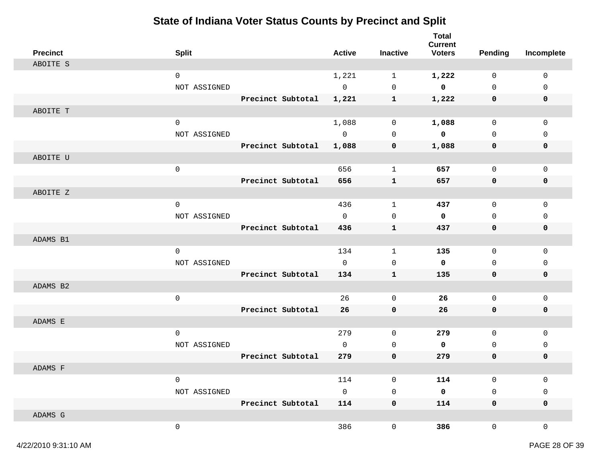| <b>Precinct</b> | <b>Split</b> |                   | <b>Active</b> | <b>Inactive</b> | <b>Total</b><br><b>Current</b><br><b>Voters</b> | Pending      | Incomplete  |
|-----------------|--------------|-------------------|---------------|-----------------|-------------------------------------------------|--------------|-------------|
| ABOITE S        |              |                   |               |                 |                                                 |              |             |
|                 | $\mathsf 0$  |                   | 1,221         | $\mathbf{1}$    | 1,222                                           | $\mathbf 0$  | 0           |
|                 | NOT ASSIGNED |                   | $\mathsf{O}$  | $\mathbf 0$     | $\mathbf 0$                                     | $\mathbf 0$  | $\mathbf 0$ |
|                 |              | Precinct Subtotal | 1,221         | $\mathbf{1}$    | 1,222                                           | $\mathbf 0$  | 0           |
| ABOITE T        |              |                   |               |                 |                                                 |              |             |
|                 | $\mathbf 0$  |                   | 1,088         | $\mathbf 0$     | 1,088                                           | $\Omega$     | $\Omega$    |
|                 | NOT ASSIGNED |                   | $\mathbf{0}$  | $\mathbf 0$     | $\mathbf 0$                                     | $\Omega$     | $\mathbf 0$ |
|                 |              | Precinct Subtotal | 1,088         | 0               | 1,088                                           | 0            | $\mathbf 0$ |
| ABOITE U        |              |                   |               |                 |                                                 |              |             |
|                 | $\mathsf{O}$ |                   | 656           | $\mathbf{1}$    | 657                                             | $\mathbf 0$  | $\mathbf 0$ |
|                 |              | Precinct Subtotal | 656           | ${\bf 1}$       | 657                                             | $\mathbf 0$  | $\mathbf 0$ |
| ABOITE Z        |              |                   |               |                 |                                                 |              |             |
|                 | $\mathbf 0$  |                   | 436           | $\mathbf{1}$    | 437                                             | $\mathsf{O}$ | $\mathsf 0$ |
|                 | NOT ASSIGNED |                   | $\Omega$      | $\mathbf 0$     | 0                                               | $\Omega$     | $\Omega$    |
|                 |              | Precinct Subtotal | 436           | ${\bf 1}$       | 437                                             | $\mathbf 0$  | $\mathbf 0$ |
| ADAMS B1        |              |                   |               |                 |                                                 |              |             |
|                 | $\mathbf 0$  |                   | 134           | $\mathbf{1}$    | 135                                             | $\mathbf 0$  | $\mathbf 0$ |
|                 | NOT ASSIGNED |                   | $\mathbf 0$   | $\mathbf 0$     | 0                                               | $\mathbf 0$  | $\mathbf 0$ |
|                 |              | Precinct Subtotal | 134           | ${\bf 1}$       | 135                                             | $\mathbf 0$  | 0           |
| ADAMS B2        |              |                   |               |                 |                                                 |              |             |
|                 | $\mathsf{O}$ |                   | 26            | $\mathbf 0$     | 26                                              | $\mathsf{O}$ | $\mathsf 0$ |
|                 |              | Precinct Subtotal | 26            | $\mathbf 0$     | 26                                              | $\mathbf 0$  | $\mathbf 0$ |
| ADAMS E         |              |                   |               |                 |                                                 |              |             |
|                 | $\mathsf 0$  |                   | 279           | $\mathbf 0$     | 279                                             | $\mathsf{O}$ | $\mathsf 0$ |
|                 | NOT ASSIGNED |                   | $\Omega$      | $\mathbf 0$     | 0                                               | $\Omega$     | $\mathbf 0$ |
|                 |              | Precinct Subtotal | 279           | $\mathbf 0$     | 279                                             | $\mathbf 0$  | $\mathbf 0$ |
| ADAMS F         |              |                   |               |                 |                                                 |              |             |
|                 | $\mathbf 0$  |                   | 114           | $\mathbf 0$     | 114                                             | $\mathbf 0$  | $\mathbf 0$ |
|                 | NOT ASSIGNED |                   | $\Omega$      | $\mathbf 0$     | 0                                               | $\Omega$     | $\mathbf 0$ |
|                 |              | Precinct Subtotal | 114           | $\mathbf 0$     | 114                                             | $\mathbf 0$  | $\mathbf 0$ |
| ADAMS G         |              |                   |               |                 |                                                 |              |             |
|                 | $\mathbf 0$  |                   | 386           | 0               | 386                                             | 0            | $\mathbf 0$ |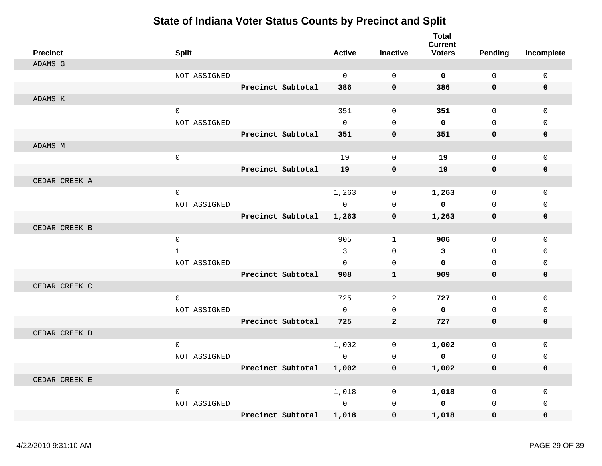| <b>Precinct</b> | <b>Split</b> |                   | <b>Active</b> | <b>Inactive</b> | <b>Total</b><br><b>Current</b><br><b>Voters</b> | <b>Pending</b> | Incomplete   |
|-----------------|--------------|-------------------|---------------|-----------------|-------------------------------------------------|----------------|--------------|
| ADAMS G         |              |                   |               |                 |                                                 |                |              |
|                 | NOT ASSIGNED |                   | $\mathbf 0$   | $\mathbf 0$     | $\mathbf 0$                                     | $\mathbf 0$    | 0            |
|                 |              | Precinct Subtotal | 386           | $\mathbf 0$     | 386                                             | 0              | $\mathbf 0$  |
| ADAMS K         |              |                   |               |                 |                                                 |                |              |
|                 | $\mathsf 0$  |                   | 351           | $\mathbf 0$     | 351                                             | 0              | $\mathbf{0}$ |
|                 | NOT ASSIGNED |                   | $\mathbf 0$   | $\Omega$        | $\mathbf 0$                                     | 0              | $\mathbf 0$  |
|                 |              | Precinct Subtotal | 351           | $\mathbf 0$     | 351                                             | 0              | $\mathbf 0$  |
| ADAMS M         |              |                   |               |                 |                                                 |                |              |
|                 | $\mathbf 0$  |                   | 19            | $\mathbf 0$     | 19                                              | $\Omega$       | $\mathbf{0}$ |
|                 |              | Precinct Subtotal | 19            | $\mathbf 0$     | 19                                              | 0              | 0            |
| CEDAR CREEK A   |              |                   |               |                 |                                                 |                |              |
|                 | $\mathbf 0$  |                   | 1,263         | $\mathbf 0$     | 1,263                                           | 0              | $\Omega$     |
|                 | NOT ASSIGNED |                   | $\Omega$      | $\Omega$        | $\mathbf 0$                                     | $\Omega$       | $\mathbf 0$  |
|                 |              | Precinct Subtotal | 1,263         | $\mathbf 0$     | 1,263                                           | 0              | 0            |
| CEDAR CREEK B   |              |                   |               |                 |                                                 |                |              |
|                 | $\mathbf 0$  |                   | 905           | $\mathbf{1}$    | 906                                             | 0              | $\mathbf 0$  |
|                 | $\mathbf{1}$ |                   | 3             | $\mathbf 0$     | $\mathbf{3}$                                    | 0              | $\Omega$     |
|                 | NOT ASSIGNED |                   | $\Omega$      | $\mathbf 0$     | $\mathbf 0$                                     | 0              | $\mathbf 0$  |
|                 |              | Precinct Subtotal | 908           | $\mathbf{1}$    | 909                                             | 0              | $\mathbf 0$  |
| CEDAR CREEK C   |              |                   |               |                 |                                                 |                |              |
|                 | $\mathbf 0$  |                   | 725           | 2               | 727                                             | 0              | 0            |
|                 | NOT ASSIGNED |                   | $\Omega$      | $\Omega$        | $\mathbf 0$                                     | $\Omega$       | $\Omega$     |
|                 |              | Precinct Subtotal | 725           | $\mathbf{2}$    | 727                                             | 0              | $\mathbf 0$  |
| CEDAR CREEK D   |              |                   |               |                 |                                                 |                |              |
|                 | $\mathbf 0$  |                   | 1,002         | 0               | 1,002                                           | 0              | 0            |
|                 | NOT ASSIGNED |                   | $\Omega$      | $\Omega$        | $\mathbf 0$                                     | $\Omega$       | $\Omega$     |
|                 |              | Precinct Subtotal | 1,002         | $\mathbf 0$     | 1,002                                           | 0              | $\mathbf 0$  |
| CEDAR CREEK E   |              |                   |               |                 |                                                 |                |              |
|                 | 0            |                   | 1,018         | $\mathbf 0$     | 1,018                                           | 0              | 0            |
|                 | NOT ASSIGNED |                   | $\Omega$      | $\mathbf 0$     | $\mathbf 0$                                     | 0              | $\Omega$     |
|                 |              | Precinct Subtotal | 1,018         | $\mathbf 0$     | 1,018                                           | 0              | 0            |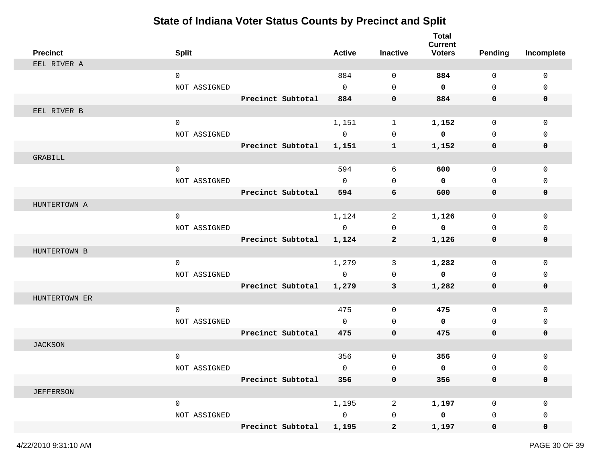| <b>Precinct</b>  | <b>Split</b> |                   | <b>Active</b>  | <b>Inactive</b> | <b>Total</b><br><b>Current</b><br><b>Voters</b> | <b>Pending</b> | Incomplete  |
|------------------|--------------|-------------------|----------------|-----------------|-------------------------------------------------|----------------|-------------|
| EEL RIVER A      |              |                   |                |                 |                                                 |                |             |
|                  | $\mathbf 0$  |                   | 884            | $\mathbf 0$     | 884                                             | $\mathbf 0$    | $\mathbf 0$ |
|                  | NOT ASSIGNED |                   | $\mathbf 0$    | $\mathbf 0$     | 0                                               | $\mathbf 0$    | $\mathbf 0$ |
|                  |              | Precinct Subtotal | 884            | 0               | 884                                             | 0              | 0           |
| EEL RIVER B      |              |                   |                |                 |                                                 |                |             |
|                  | $\mathbf 0$  |                   | 1,151          | $\mathbf 1$     | 1,152                                           | $\mathbf 0$    | $\mathbf 0$ |
|                  | NOT ASSIGNED |                   | $\mathbf 0$    | $\mathbf 0$     | 0                                               | $\Omega$       | $\Omega$    |
|                  |              | Precinct Subtotal | 1,151          | $\mathbf{1}$    | 1,152                                           | 0              | 0           |
| GRABILL          |              |                   |                |                 |                                                 |                |             |
|                  | $\mathbf 0$  |                   | 594            | 6               | 600                                             | $\mathbf 0$    | 0           |
|                  | NOT ASSIGNED |                   | $\Omega$       | $\Omega$        | 0                                               | $\Omega$       | 0           |
|                  |              | Precinct Subtotal | 594            | 6               | 600                                             | 0              | 0           |
| HUNTERTOWN A     |              |                   |                |                 |                                                 |                |             |
|                  | $\mathbf 0$  |                   | 1,124          | 2               | 1,126                                           | $\mathbf 0$    | $\mathbf 0$ |
|                  | NOT ASSIGNED |                   | $\mathbf 0$    | $\mathbf 0$     | 0                                               | $\Omega$       | 0           |
|                  |              | Precinct Subtotal | 1,124          | $\mathbf{2}$    | 1,126                                           | 0              | 0           |
| HUNTERTOWN B     |              |                   |                |                 |                                                 |                |             |
|                  | $\mathbf 0$  |                   | 1,279          | 3               | 1,282                                           | $\mathbf 0$    | 0           |
|                  | NOT ASSIGNED |                   | $\mathbf 0$    | $\mathbf 0$     | $\mathbf 0$                                     | $\mathbf 0$    | 0           |
|                  |              | Precinct Subtotal | 1,279          | 3               | 1,282                                           | 0              | 0           |
| HUNTERTOWN ER    |              |                   |                |                 |                                                 |                |             |
|                  | $\mathbf 0$  |                   | 475            | $\mathbf 0$     | 475                                             | $\mathbf 0$    | $\mathbf 0$ |
|                  | NOT ASSIGNED |                   | $\mathbf 0$    | $\mathbf 0$     | 0                                               | $\mathbf{0}$   | 0           |
|                  |              | Precinct Subtotal | 475            | $\mathbf 0$     | 475                                             | $\mathbf 0$    | 0           |
| <b>JACKSON</b>   |              |                   |                |                 |                                                 |                |             |
|                  | $\mathsf 0$  |                   | 356            | 0               | 356                                             | $\mathbf 0$    | 0           |
|                  | NOT ASSIGNED |                   | $\mathbf 0$    | 0               | 0                                               | $\mathbf 0$    | 0           |
|                  |              | Precinct Subtotal | 356            | 0               | 356                                             | 0              | 0           |
| <b>JEFFERSON</b> |              |                   |                |                 |                                                 |                |             |
|                  | $\mathsf{O}$ |                   | 1,195          | $\overline{a}$  | 1,197                                           | $\mathbf 0$    | 0           |
|                  | NOT ASSIGNED |                   | $\overline{0}$ | 0               | $\mathbf 0$                                     | 0              | 0           |
|                  |              | Precinct Subtotal | 1,195          | $\mathbf{2}$    | 1,197                                           | 0              | 0           |
|                  |              |                   |                |                 |                                                 |                |             |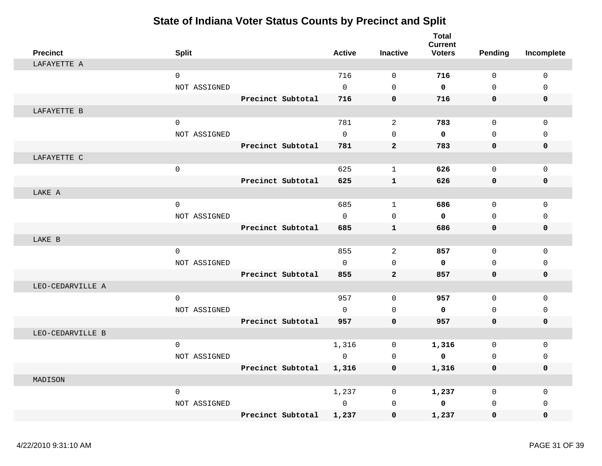| <b>Precinct</b>  | <b>Split</b> |                   | <b>Active</b> | <b>Inactive</b> | <b>Total</b><br><b>Current</b><br><b>Voters</b> | Pending      | Incomplete  |
|------------------|--------------|-------------------|---------------|-----------------|-------------------------------------------------|--------------|-------------|
| LAFAYETTE A      |              |                   |               |                 |                                                 |              |             |
|                  | $\mathsf 0$  |                   | 716           | $\mathbf 0$     | 716                                             | $\mathbf 0$  | $\mathbf 0$ |
|                  | NOT ASSIGNED |                   | $\Omega$      | $\Omega$        | $\mathbf 0$                                     | $\Omega$     | $\Omega$    |
|                  |              | Precinct Subtotal | 716           | $\mathbf 0$     | 716                                             | 0            | $\mathbf 0$ |
| LAFAYETTE B      |              |                   |               |                 |                                                 |              |             |
|                  | $\mathsf{O}$ |                   | 781           | 2               | 783                                             | $\mathbf 0$  | $\mathbf 0$ |
|                  | NOT ASSIGNED |                   | $\mathsf{O}$  | $\mathbf 0$     | $\mathbf 0$                                     | $\mathbf 0$  | $\mathbf 0$ |
|                  |              | Precinct Subtotal | 781           | $\overline{2}$  | 783                                             | 0            | $\mathbf 0$ |
| LAFAYETTE C      |              |                   |               |                 |                                                 |              |             |
|                  | $\mathsf 0$  |                   | 625           | $\mathbf{1}$    | 626                                             | $\mathbf 0$  | $\mathbf 0$ |
|                  |              | Precinct Subtotal | 625           | $\mathbf{1}$    | 626                                             | 0            | $\mathbf 0$ |
| LAKE A           |              |                   |               |                 |                                                 |              |             |
|                  | $\mathbf 0$  |                   | 685           | $\mathbf{1}$    | 686                                             | $\Omega$     | $\Omega$    |
|                  | NOT ASSIGNED |                   | $\Omega$      | $\Omega$        | $\mathbf 0$                                     | $\Omega$     | $\Omega$    |
|                  |              | Precinct Subtotal | 685           | $\mathbf{1}$    | 686                                             | 0            | $\mathbf 0$ |
| LAKE B           |              |                   |               |                 |                                                 |              |             |
|                  | $\mathbf 0$  |                   | 855           | $\overline{c}$  | 857                                             | $\mathbf{0}$ | $\mathbf 0$ |
|                  | NOT ASSIGNED |                   | $\Omega$      | $\Omega$        | $\mathbf 0$                                     | $\Omega$     | $\Omega$    |
|                  |              | Precinct Subtotal | 855           | $\overline{a}$  | 857                                             | 0            | $\mathbf 0$ |
| LEO-CEDARVILLE A |              |                   |               |                 |                                                 |              |             |
|                  | $\mathbf 0$  |                   | 957           | $\mathbf 0$     | 957                                             | $\mathbf 0$  | $\mathbf 0$ |
|                  | NOT ASSIGNED |                   | $\Omega$      | $\Omega$        | $\mathbf 0$                                     | $\mathbf{0}$ | $\mathbf 0$ |
|                  |              | Precinct Subtotal | 957           | $\mathbf 0$     | 957                                             | 0            | $\mathbf 0$ |
| LEO-CEDARVILLE B |              |                   |               |                 |                                                 |              |             |
|                  | $\mathbf 0$  |                   | 1,316         | $\mathbf 0$     | 1,316                                           | 0            | $\mathbf 0$ |
|                  | NOT ASSIGNED |                   | $\mathbf 0$   | $\mathbf 0$     | $\mathbf 0$                                     | $\mathbf 0$  | $\mathbf 0$ |
|                  |              | Precinct Subtotal | 1,316         | 0               | 1,316                                           | 0            | $\mathbf 0$ |
| MADISON          |              |                   |               |                 |                                                 |              |             |
|                  | 0            |                   | 1,237         | $\mathbf 0$     | 1,237                                           | 0            | 0           |
|                  | NOT ASSIGNED |                   | $\mathsf{O}$  | $\mathbf 0$     | $\mathbf 0$                                     | $\mathbf 0$  | $\Omega$    |
|                  |              | Precinct Subtotal | 1,237         | $\mathbf 0$     | 1,237                                           | 0            | $\mathbf 0$ |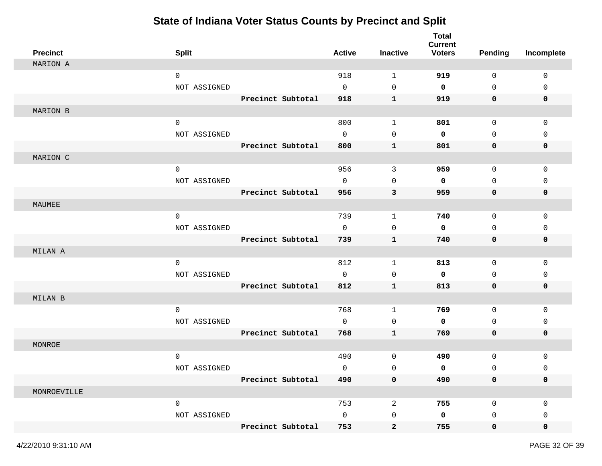| <b>Precinct</b> | <b>Split</b>        |                   | <b>Active</b>       | <b>Inactive</b> | <b>Total</b><br><b>Current</b><br><b>Voters</b> | <b>Pending</b> | Incomplete  |
|-----------------|---------------------|-------------------|---------------------|-----------------|-------------------------------------------------|----------------|-------------|
| MARION A        |                     |                   |                     |                 |                                                 |                |             |
|                 | $\mathbf 0$         |                   | 918                 | $\mathbf{1}$    | 919                                             | 0              | 0           |
|                 | NOT ASSIGNED        |                   | $\mathbf 0$         | 0               | $\mathbf 0$                                     | 0              | 0           |
|                 |                     | Precinct Subtotal | 918                 | $\mathbf{1}$    | 919                                             | 0              | 0           |
| MARION B        |                     |                   |                     |                 |                                                 |                |             |
|                 | $\mathbf 0$         |                   | 800                 | $\mathbf{1}$    | 801                                             | 0              | $\mathbf 0$ |
|                 | NOT ASSIGNED        |                   | $\mathbf 0$         | $\mathbf 0$     | $\mathbf 0$                                     | 0              | 0           |
|                 |                     | Precinct Subtotal | 800                 | $\mathbf{1}$    | 801                                             | 0              | 0           |
| MARION C        |                     |                   |                     |                 |                                                 |                |             |
|                 | $\mathsf{O}\xspace$ |                   | 956                 | $\mathfrak{Z}$  | 959                                             | $\mathsf{O}$   | 0           |
|                 | NOT ASSIGNED        |                   | $\mathbf 0$         | $\mathbf 0$     | 0                                               | 0              | 0           |
|                 |                     | Precinct Subtotal | 956                 | 3               | 959                                             | 0              | 0           |
| MAUMEE          |                     |                   |                     |                 |                                                 |                |             |
|                 | $\mathbf 0$         |                   | 739                 | $\mathbf{1}$    | 740                                             | 0              | 0           |
|                 | NOT ASSIGNED        |                   | $\mathbf 0$         | $\mathbf 0$     | 0                                               | 0              | 0           |
|                 |                     | Precinct Subtotal | 739                 | $\mathbf 1$     | 740                                             | 0              | 0           |
| MILAN A         |                     |                   |                     |                 |                                                 |                |             |
|                 | $\mathbf 0$         |                   | 812                 | 1               | 813                                             | 0              | 0           |
|                 | NOT ASSIGNED        |                   | $\mathbf 0$         | 0               | 0                                               | 0              | 0           |
|                 |                     | Precinct Subtotal | 812                 | $\mathbf 1$     | 813                                             | 0              | 0           |
| MILAN B         |                     |                   |                     |                 |                                                 |                |             |
|                 | $\mathbf 0$         |                   | 768                 | $\mathbf{1}$    | 769                                             | 0              | $\mathbf 0$ |
|                 | NOT ASSIGNED        |                   | $\mathbf 0$         | 0               | 0                                               | 0              | 0           |
|                 |                     | Precinct Subtotal | 768                 | $\mathbf{1}$    | 769                                             | 0              | 0           |
| MONROE          |                     |                   |                     |                 |                                                 |                |             |
|                 | $\mathbf 0$         |                   | 490                 | 0               | 490                                             | 0              | 0           |
|                 | NOT ASSIGNED        |                   | $\mathbf 0$         | 0               | 0                                               | 0              | 0           |
|                 |                     | Precinct Subtotal | 490                 | 0               | 490                                             | 0              | 0           |
| MONROEVILLE     |                     |                   |                     |                 |                                                 |                |             |
|                 | $\mathsf{O}\xspace$ |                   | 753                 | $\overline{a}$  | 755                                             | $\mathsf 0$    | 0           |
|                 | NOT ASSIGNED        |                   | $\mathsf{O}\xspace$ | 0               | $\mathbf 0$                                     | 0              | 0           |
|                 |                     | Precinct Subtotal | 753                 | $\mathbf{2}$    | 755                                             | $\mathbf 0$    | 0           |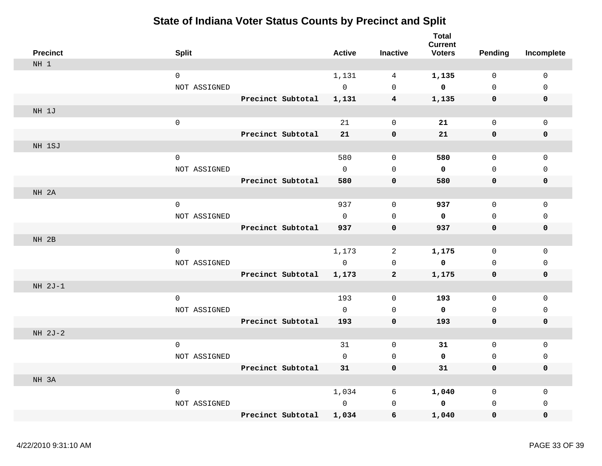| <b>Precinct</b> | <b>Split</b> |                   | <b>Active</b> | <b>Inactive</b> | <b>Total</b><br><b>Current</b><br><b>Voters</b> | <b>Pending</b> | Incomplete   |
|-----------------|--------------|-------------------|---------------|-----------------|-------------------------------------------------|----------------|--------------|
| NH 1            |              |                   |               |                 |                                                 |                |              |
|                 | 0            |                   | 1,131         | 4               | 1,135                                           | $\mathbf 0$    | 0            |
|                 | NOT ASSIGNED |                   | $\mathbf 0$   | $\mathbf 0$     | 0                                               | $\mathbf 0$    | $\Omega$     |
|                 |              | Precinct Subtotal | 1,131         | $4\phantom{1}$  | 1,135                                           | $\mathbf 0$    | $\mathbf 0$  |
| NH 1J           |              |                   |               |                 |                                                 |                |              |
|                 | $\mathsf{O}$ |                   | 21            | $\mathbf 0$     | 21                                              | $\mathbf 0$    | 0            |
|                 |              | Precinct Subtotal | 21            | $\pmb{0}$       | 21                                              | 0              | 0            |
| NH 1SJ          |              |                   |               |                 |                                                 |                |              |
|                 | $\mathsf{O}$ |                   | 580           | $\mathbb O$     | 580                                             | 0              | $\mathsf 0$  |
|                 | NOT ASSIGNED |                   | $\mathbf 0$   | $\mathsf 0$     | 0                                               | 0              | $\Omega$     |
|                 |              | Precinct Subtotal | 580           | $\mathbf 0$     | 580                                             | 0              | 0            |
| NH 2A           |              |                   |               |                 |                                                 |                |              |
|                 | $\mathbf 0$  |                   | 937           | $\mathbf 0$     | 937                                             | $\mathbf 0$    | $\mathbf{0}$ |
|                 | NOT ASSIGNED |                   | $\Omega$      | $\mathbf 0$     | $\mathbf 0$                                     | $\mathbf 0$    | $\mathbf 0$  |
|                 |              | Precinct Subtotal | 937           | $\mathbf 0$     | 937                                             | 0              | 0            |
| NH 2B           |              |                   |               |                 |                                                 |                |              |
|                 | $\mathbf 0$  |                   | 1,173         | 2               | 1,175                                           | 0              | $\mathbf 0$  |
|                 | NOT ASSIGNED |                   | $\mathbf 0$   | $\mathbf 0$     | $\mathbf 0$                                     | $\mathbf 0$    | $\mathbf 0$  |
|                 |              | Precinct Subtotal | 1,173         | $\overline{2}$  | 1,175                                           | 0              | $\mathbf 0$  |
| NH 2J-1         |              |                   |               |                 |                                                 |                |              |
|                 | $\mathbf 0$  |                   | 193           | $\mathbf 0$     | 193                                             | $\mathbf 0$    | $\mathbf 0$  |
|                 | NOT ASSIGNED |                   | $\mathbf 0$   | $\mathbf 0$     | $\mathbf 0$                                     | $\mathbf 0$    | $\mathbf 0$  |
|                 |              | Precinct Subtotal | 193           | $\mathbf 0$     | 193                                             | 0              | $\mathbf 0$  |
| NH 2J-2         |              |                   |               |                 |                                                 |                |              |
|                 | $\mathbf 0$  |                   | 31            | $\mathbf 0$     | 31                                              | $\mathbf 0$    | $\mathbf 0$  |
|                 | NOT ASSIGNED |                   | $\mathbf 0$   | $\mathbf 0$     | $\mathbf 0$                                     | $\mathbf 0$    | $\mathbf 0$  |
|                 |              | Precinct Subtotal | 31            | 0               | 31                                              | 0              | $\mathbf 0$  |
| NH 3A           |              |                   |               |                 |                                                 |                |              |
|                 | $\mathbf 0$  |                   | 1,034         | 6               | 1,040                                           | $\mathbf 0$    | $\mathbf 0$  |
|                 | NOT ASSIGNED |                   | $\mathbf 0$   | $\mathbf{0}$    | $\mathbf 0$                                     | $\mathbf 0$    | 0            |
|                 |              | Precinct Subtotal | 1,034         | 6               | 1,040                                           | 0              | $\mathbf 0$  |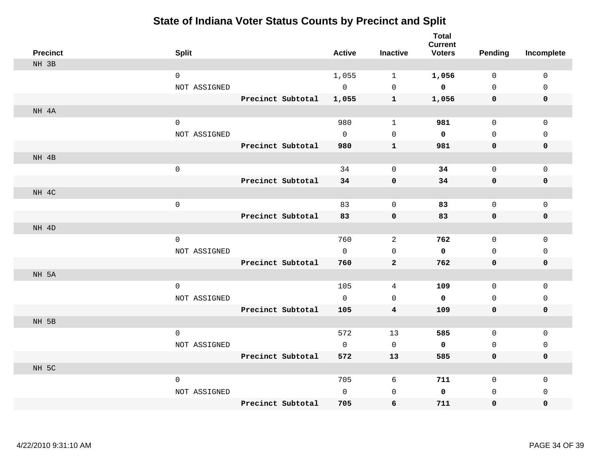| <b>Precinct</b> | <b>Split</b>        |                   | <b>Active</b> | <b>Inactive</b>         | <b>Total</b><br><b>Current</b><br><b>Voters</b> | <b>Pending</b> | Incomplete   |
|-----------------|---------------------|-------------------|---------------|-------------------------|-------------------------------------------------|----------------|--------------|
| NH 3B           |                     |                   |               |                         |                                                 |                |              |
|                 | $\mathbf 0$         |                   | 1,055         | $\mathbf{1}$            | 1,056                                           | $\mathbf 0$    | $\mathsf 0$  |
|                 | NOT ASSIGNED        |                   | $\mathbf 0$   | $\mathbf 0$             | $\mathbf 0$                                     | $\mathbf{0}$   | 0            |
|                 |                     | Precinct Subtotal | 1,055         | $\mathbf{1}$            | 1,056                                           | 0              | 0            |
| NH 4A           |                     |                   |               |                         |                                                 |                |              |
|                 | $\mathsf{O}\xspace$ |                   | 980           | $\mathbf{1}$            | 981                                             | $\mathsf{O}$   | $\mathsf 0$  |
|                 | NOT ASSIGNED        |                   | $\Omega$      | $\mathsf{O}$            | 0                                               | $\mathsf{O}$   | $\Omega$     |
|                 |                     | Precinct Subtotal | 980           | $\mathbf{1}$            | 981                                             | 0              | 0            |
| NH 4B           |                     |                   |               |                         |                                                 |                |              |
|                 | $\mathsf{O}\xspace$ |                   | 34            | 0                       | 34                                              | $\mathsf{O}$   | 0            |
|                 |                     | Precinct Subtotal | 34            | 0                       | 34                                              | 0              | 0            |
| NH 4C           |                     |                   |               |                         |                                                 |                |              |
|                 | $\mathsf{O}\xspace$ |                   | 83            | 0                       | 83                                              | $\mathsf{O}$   | 0            |
|                 |                     | Precinct Subtotal | 83            | 0                       | 83                                              | 0              | 0            |
| NH 4D           |                     |                   |               |                         |                                                 |                |              |
|                 | $\mathsf{O}$        |                   | 760           | 2                       | 762                                             | $\mathsf{O}$   | 0            |
|                 | NOT ASSIGNED        |                   | $\Omega$      | 0                       | 0                                               | 0              | 0            |
|                 |                     | Precinct Subtotal | 760           | $\overline{a}$          | 762                                             | $\mathbf 0$    | 0            |
| NH 5A           |                     |                   |               |                         |                                                 |                |              |
|                 | $\mathsf{O}\xspace$ |                   | 105           | 4                       | 109                                             | $\mathsf{O}$   | $\mathsf 0$  |
|                 | NOT ASSIGNED        |                   | $\mathbf{0}$  | $\mathbf 0$             | 0                                               | $\mathbf 0$    | 0            |
|                 |                     | Precinct Subtotal | 105           | $\overline{\mathbf{4}}$ | 109                                             | $\mathbf 0$    | $\pmb{0}$    |
| NH 5B           |                     |                   |               |                         |                                                 |                |              |
|                 | $\mathsf{O}\xspace$ |                   | 572           | 13                      | 585                                             | $\mathbf 0$    | $\mathbf{0}$ |
|                 | NOT ASSIGNED        |                   | $\mathbf 0$   | $\mathbf 0$             | $\mathbf 0$                                     | $\mathsf{O}$   | $\mathbf 0$  |
|                 |                     | Precinct Subtotal | 572           | 13                      | 585                                             | 0              | 0            |
| NH 5C           |                     |                   |               |                         |                                                 |                |              |
|                 | $\mathbf 0$         |                   | 705           | 6                       | 711                                             | $\mathsf{O}$   | $\mathbf 0$  |
|                 | NOT ASSIGNED        |                   | $\mathbf 0$   | $\mathsf{O}$            | 0                                               | 0              | $\mathbf 0$  |
|                 |                     | Precinct Subtotal | 705           | 6                       | 711                                             | 0              | 0            |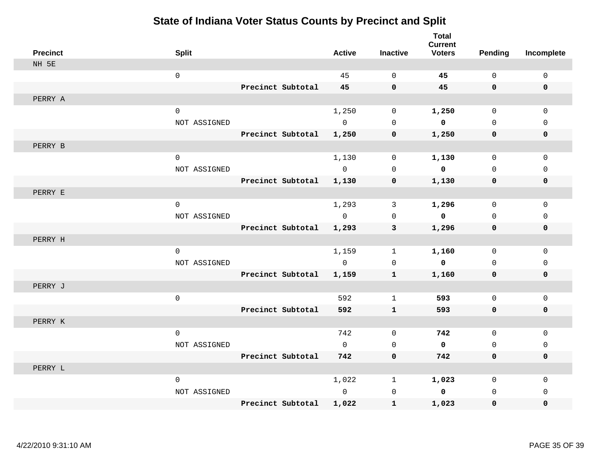| <b>Precinct</b> | <b>Split</b>        |                   | <b>Active</b>  | <b>Inactive</b> | <b>Total</b><br><b>Current</b><br><b>Voters</b> | <b>Pending</b> | Incomplete  |
|-----------------|---------------------|-------------------|----------------|-----------------|-------------------------------------------------|----------------|-------------|
| NH 5E           |                     |                   |                |                 |                                                 |                |             |
|                 | $\mathsf 0$         |                   | 45             | $\mathbf 0$     | 45                                              | $\mathsf{O}$   | $\mathsf 0$ |
|                 |                     | Precinct Subtotal | 45             | $\mathbf 0$     | 45                                              | $\mathbf 0$    | $\mathbf 0$ |
| PERRY A         |                     |                   |                |                 |                                                 |                |             |
|                 | $\mathbf 0$         |                   | 1,250          | $\mathbf 0$     | 1,250                                           | $\mathbf 0$    | $\mathbf 0$ |
|                 | NOT ASSIGNED        |                   | $\mathbf 0$    | $\mathbf 0$     | $\overline{\mathbf{0}}$                         | $\mathbf 0$    | $\mathbf 0$ |
|                 |                     | Precinct Subtotal | 1,250          | $\mathbf 0$     | 1,250                                           | 0              | 0           |
| PERRY B         |                     |                   |                |                 |                                                 |                |             |
|                 | $\mathbf 0$         |                   | 1,130          | $\mathbf 0$     | 1,130                                           | 0              | $\mathsf 0$ |
|                 | NOT ASSIGNED        |                   | $\Omega$       | $\Omega$        | $\mathbf 0$                                     | $\Omega$       | $\mathbf 0$ |
|                 |                     | Precinct Subtotal | 1,130          | $\pmb{0}$       | 1,130                                           | $\mathbf 0$    | $\mathbf 0$ |
| PERRY E         |                     |                   |                |                 |                                                 |                |             |
|                 | $\mathbf 0$         |                   | 1,293          | 3               | 1,296                                           | $\mathbf 0$    | $\mathbf 0$ |
|                 | NOT ASSIGNED        |                   | $\Omega$       | $\Omega$        | $\overline{\mathbf{0}}$                         | $\Omega$       | $\Omega$    |
|                 |                     | Precinct Subtotal | 1,293          | 3               | 1,296                                           | 0              | $\mathbf 0$ |
| PERRY H         |                     |                   |                |                 |                                                 |                |             |
|                 | $\mathbf{0}$        |                   | 1,159          | $\mathbf 1$     | 1,160                                           | $\mathsf{O}$   | $\mathbf 0$ |
|                 | NOT ASSIGNED        |                   | $\overline{0}$ | $\mathsf 0$     | $\overline{\mathbf{0}}$                         | $\mathsf{O}$   | $\mathsf 0$ |
|                 |                     | Precinct Subtotal | 1,159          | $\mathbf 1$     | 1,160                                           | 0              | 0           |
| PERRY J         |                     |                   |                |                 |                                                 |                |             |
|                 | $\mathsf{O}\xspace$ |                   | 592            | $\mathbf{1}$    | 593                                             | $\mathbf 0$    | $\mathsf 0$ |
|                 |                     | Precinct Subtotal | 592            | $\mathbf{1}$    | 593                                             | 0              | 0           |
| PERRY K         |                     |                   |                |                 |                                                 |                |             |
|                 | $\mathsf 0$         |                   | 742            | $\mathbf 0$     | 742                                             | $\mathsf{O}$   | $\mathsf 0$ |
|                 | NOT ASSIGNED        |                   | $\mathbf 0$    | $\mathbf 0$     | $\mathbf 0$                                     | 0              | $\Omega$    |
|                 |                     | Precinct Subtotal | 742            | $\mathbf 0$     | 742                                             | 0              | 0           |
| PERRY L         |                     |                   |                |                 |                                                 |                |             |
|                 | $\mathbf 0$         |                   | 1,022          | $\mathbf 1$     | 1,023                                           | 0              | 0           |
|                 | NOT ASSIGNED        |                   | $\mathbf 0$    | $\mathsf 0$     | 0                                               | 0              | $\mathbf 0$ |
|                 |                     | Precinct Subtotal | 1,022          | $\mathbf 1$     | 1,023                                           | 0              | $\Omega$    |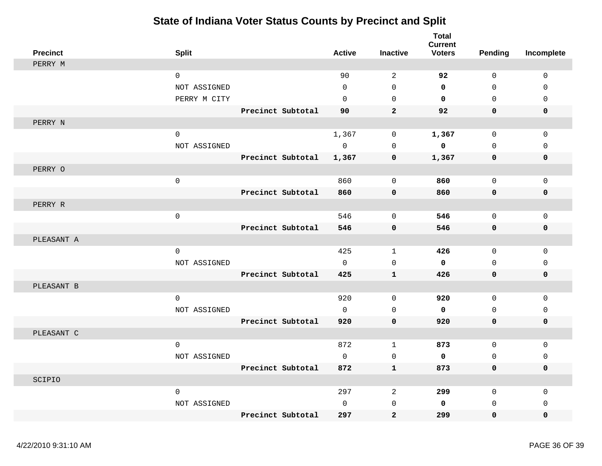| <b>Precinct</b> | <b>Split</b>        |                   | <b>Active</b> | <b>Inactive</b>            | <b>Total</b><br><b>Current</b><br><b>Voters</b> | <b>Pending</b> | Incomplete  |
|-----------------|---------------------|-------------------|---------------|----------------------------|-------------------------------------------------|----------------|-------------|
| PERRY M         |                     |                   |               |                            |                                                 |                |             |
|                 | $\mathbf 0$         |                   | 90            | 2                          | 92                                              | $\mathbf 0$    | $\mathbf 0$ |
|                 | NOT ASSIGNED        |                   | $\Omega$      | $\Omega$                   | $\mathbf 0$                                     | $\Omega$       | $\Omega$    |
|                 | PERRY M CITY        |                   | $\Omega$      | $\mathbf 0$                | $\mathbf 0$                                     | $\mathbf 0$    | $\mathbf 0$ |
|                 |                     | Precinct Subtotal | 90            | $\overline{a}$             | 92                                              | $\mathbf 0$    | $\mathbf 0$ |
| PERRY N         |                     |                   |               |                            |                                                 |                |             |
|                 | $\mathbf{0}$        |                   | 1,367         | $\mathbf 0$                | 1,367                                           | $\mathbf 0$    | $\mathbf 0$ |
|                 | NOT ASSIGNED        |                   | $\mathbf 0$   | $\mathbf 0$                | 0                                               | $\mathbf 0$    | 0           |
|                 |                     | Precinct Subtotal | 1,367         | $\mathbf 0$                | 1,367                                           | $\mathbf 0$    | $\mathbf 0$ |
| PERRY O         |                     |                   |               |                            |                                                 |                |             |
|                 | $\mathsf{O}\xspace$ |                   | 860           | $\mathbf 0$                | 860                                             | $\mathbf 0$    | $\mathbf 0$ |
|                 |                     | Precinct Subtotal | 860           | $\mathbf 0$                | 860                                             | $\mathbf 0$    | 0           |
| PERRY R         |                     |                   |               |                            |                                                 |                |             |
|                 | $\mathbf 0$         |                   | 546           | $\mathbf 0$                | 546                                             | $\mathbf 0$    | $\mathbf 0$ |
|                 |                     | Precinct Subtotal | 546           | $\mathbf 0$                | 546                                             | $\mathbf 0$    | 0           |
| PLEASANT A      |                     |                   |               |                            |                                                 |                |             |
|                 | $\mathsf{O}$        |                   | 425           | $\mathbf{1}$               | 426                                             | 0              | 0           |
|                 | NOT ASSIGNED        |                   | $\Omega$      | $\mathbf 0$                | $\mathbf 0$                                     | $\mathbf 0$    | $\mathbf 0$ |
|                 |                     | Precinct Subtotal | 425           | $\mathbf{1}$               | 426                                             | 0              | 0           |
|                 |                     |                   |               |                            |                                                 |                |             |
| PLEASANT B      |                     |                   | 920           |                            | 920                                             |                |             |
|                 | $\mathsf{O}$        |                   | $\Omega$      | $\mathbf 0$                |                                                 | $\mathbf 0$    | $\mathbf 0$ |
|                 | NOT ASSIGNED        | Precinct Subtotal |               | $\mathbf 0$<br>$\mathbf 0$ | 0                                               | $\mathbf 0$    | $\mathbf 0$ |
|                 |                     |                   | 920           |                            | 920                                             | $\mathbf 0$    | 0           |
| PLEASANT C      |                     |                   | 872           |                            | 873                                             |                |             |
|                 | $\mathsf{O}$        |                   |               | $\mathbf{1}$               |                                                 | 0              | 0           |
|                 | NOT ASSIGNED        |                   | $\mathbf 0$   | $\mathbf 0$                | 0                                               | $\mathbf 0$    | $\mathbf 0$ |
|                 |                     | Precinct Subtotal | 872           | $\mathbf 1$                | 873                                             | 0              | 0           |
| SCIPIO          |                     |                   |               |                            |                                                 |                |             |
|                 | $\mathbf 0$         |                   | 297           | 2                          | 299                                             | 0              | 0           |
|                 | NOT ASSIGNED        |                   | $\mathbf 0$   | $\mathbf 0$                | 0                                               | $\mathbf 0$    | $\mathbf 0$ |
|                 |                     | Precinct Subtotal | 297           | $\mathbf{2}$               | 299                                             | $\mathbf 0$    | $\mathbf 0$ |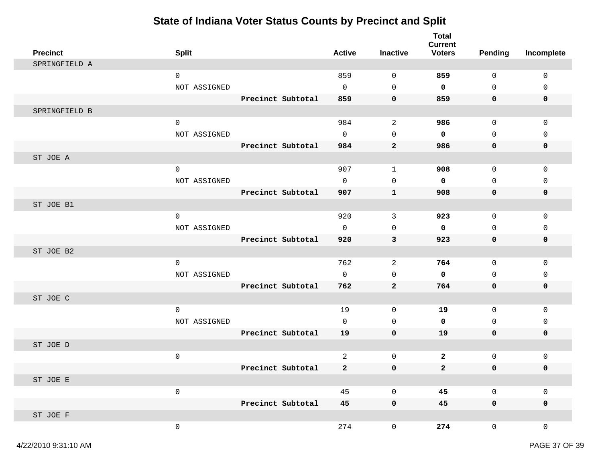| <b>Precinct</b> | <b>Split</b> |                   | <b>Active</b>  | <b>Inactive</b>     | <b>Total</b><br><b>Current</b><br><b>Voters</b> | <b>Pending</b>      | Incomplete   |
|-----------------|--------------|-------------------|----------------|---------------------|-------------------------------------------------|---------------------|--------------|
| SPRINGFIELD A   |              |                   |                |                     |                                                 |                     |              |
|                 | $\mathbf 0$  |                   | 859            | $\mathbf 0$         | 859                                             | $\mathbf 0$         | $\mathbf 0$  |
|                 | NOT ASSIGNED |                   | $\mathbf 0$    | 0                   | $\mathbf 0$                                     | 0                   | $\mathbf 0$  |
|                 |              | Precinct Subtotal | 859            | $\mathbf 0$         | 859                                             | $\mathbf 0$         | $\mathbf 0$  |
| SPRINGFIELD B   |              |                   |                |                     |                                                 |                     |              |
|                 | $\mathsf 0$  |                   | 984            | 2                   | 986                                             | $\mathbf 0$         | $\mathbf 0$  |
|                 | NOT ASSIGNED |                   | $\Omega$       | $\mathbf 0$         | $\mathbf 0$                                     | $\Omega$            | $\Omega$     |
|                 |              | Precinct Subtotal | 984            | $\mathbf{2}$        | 986                                             | $\mathbf 0$         | $\mathbf 0$  |
| ST JOE A        |              |                   |                |                     |                                                 |                     |              |
|                 | $\mathsf 0$  |                   | 907            | $\mathbf{1}$        | 908                                             | $\mathsf{O}$        | $\mathbf 0$  |
|                 | NOT ASSIGNED |                   | $\mathbf 0$    | $\mathbf 0$         | $\mathbf 0$                                     | $\mathbf 0$         | 0            |
|                 |              | Precinct Subtotal | 907            | $\mathbf{1}$        | 908                                             | 0                   | 0            |
| ST JOE B1       |              |                   |                |                     |                                                 |                     |              |
|                 | $\mathbf 0$  |                   | 920            | 3                   | 923                                             | $\mathbf 0$         | 0            |
|                 | NOT ASSIGNED |                   | $\mathbf 0$    | $\mathbf 0$         | $\mathbf 0$                                     | $\mathbf 0$         | 0            |
|                 |              | Precinct Subtotal | 920            | 3                   | 923                                             | 0                   | 0            |
| ST JOE B2       |              |                   |                |                     |                                                 |                     |              |
|                 | $\mathbf 0$  |                   | 762            | 2                   | 764                                             | $\mathbf 0$         | $\mathbf 0$  |
|                 | NOT ASSIGNED |                   | 0              | 0                   | $\mathbf 0$                                     | 0                   | $\mathbf 0$  |
|                 |              | Precinct Subtotal | 762            | $\mathbf{2}$        | 764                                             | $\mathbf 0$         | 0            |
| ST JOE C        |              |                   |                |                     |                                                 |                     |              |
|                 | $\mathbf 0$  |                   | 19             | $\mathbf 0$         | 19                                              | $\mathbf 0$         | $\mathbf 0$  |
|                 | NOT ASSIGNED |                   | $\mathbf 0$    | $\mathbf 0$         | 0                                               | $\mathbf 0$         | 0            |
|                 |              | Precinct Subtotal | 19             | $\mathbf 0$         | 19                                              | $\mathbf 0$         | $\mathbf 0$  |
| ST JOE D        |              |                   |                |                     |                                                 |                     |              |
|                 | $\mathsf 0$  |                   | $\overline{a}$ | $\mathsf{O}\xspace$ | $\overline{2}$                                  | $\mathsf{O}$        | 0            |
|                 |              | Precinct Subtotal | $\mathbf{2}$   | 0                   | $\mathbf{2}$                                    | 0                   | 0            |
| ST JOE E        |              |                   |                |                     |                                                 |                     |              |
|                 | $\mathsf 0$  |                   | 45             | $\mathsf{O}\xspace$ | 45                                              | $\mathsf{O}\xspace$ | $\mathsf 0$  |
|                 |              | Precinct Subtotal | 45             | $\pmb{0}$           | 45                                              | $\mathbf 0$         | $\mathbf 0$  |
| ST JOE F        |              |                   |                |                     |                                                 |                     |              |
|                 | $\mathsf 0$  |                   | 274            | $\mathsf{O}\xspace$ | 274                                             | $\overline{0}$      | $\mathsf{O}$ |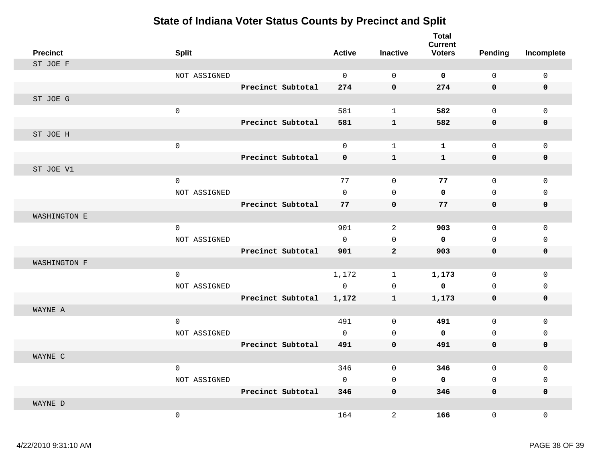| <b>Precinct</b> | <b>Split</b> |                   | <b>Active</b> | <b>Inactive</b> | <b>Total</b><br><b>Current</b><br><b>Voters</b> | <b>Pending</b> | Incomplete  |
|-----------------|--------------|-------------------|---------------|-----------------|-------------------------------------------------|----------------|-------------|
| ST JOE F        |              |                   |               |                 |                                                 |                |             |
|                 | NOT ASSIGNED |                   | $\mathbf 0$   | $\mathbf 0$     | $\mathbf 0$                                     | $\mathbf{0}$   | 0           |
|                 |              | Precinct Subtotal | 274           | $\mathbf 0$     | 274                                             | 0              | $\mathbf 0$ |
| ST JOE G        |              |                   |               |                 |                                                 |                |             |
|                 | $\mathbf 0$  |                   | 581           | $\mathbf{1}$    | 582                                             | 0              | $\mathbf 0$ |
|                 |              | Precinct Subtotal | 581           | ${\bf 1}$       | 582                                             | 0              | $\mathbf 0$ |
| ST JOE H        |              |                   |               |                 |                                                 |                |             |
|                 | $\mathsf 0$  |                   | $\mathbf 0$   | $\mathbf{1}$    | $\mathbf{1}$                                    | $\mathbf 0$    | $\mathbf 0$ |
|                 |              | Precinct Subtotal | $\mathbf 0$   | ${\bf 1}$       | $\mathbf{1}$                                    | 0              | 0           |
| ST JOE V1       |              |                   |               |                 |                                                 |                |             |
|                 | $\mathsf 0$  |                   | 77            | $\mathbf 0$     | 77                                              | 0              | $\Omega$    |
|                 | NOT ASSIGNED |                   | $\mathbf 0$   | $\Omega$        | $\mathbf 0$                                     | 0              | $\mathbf 0$ |
|                 |              | Precinct Subtotal | 77            | $\mathbf 0$     | 77                                              | $\mathbf 0$    | $\mathbf 0$ |
| WASHINGTON E    |              |                   |               |                 |                                                 |                |             |
|                 | $\mathsf 0$  |                   | 901           | 2               | 903                                             | 0              | $\mathbf 0$ |
|                 | NOT ASSIGNED |                   | $\mathbf 0$   | $\mathbf 0$     | $\mathbf 0$                                     | 0              | $\mathbf 0$ |
|                 |              | Precinct Subtotal | 901           | $\mathbf{2}$    | 903                                             | 0              | 0           |
| WASHINGTON F    |              |                   |               |                 |                                                 |                |             |
|                 | $\mathsf 0$  |                   | 1,172         | $\mathbf 1$     | 1,173                                           | 0              | $\mathbf 0$ |
|                 | NOT ASSIGNED |                   | $\mathbf 0$   | $\mathbf 0$     | $\mathbf 0$                                     | 0              | $\mathsf 0$ |
|                 |              | Precinct Subtotal | 1,172         | $\mathbf{1}$    | 1,173                                           | 0              | 0           |
| WAYNE A         |              |                   |               |                 |                                                 |                |             |
|                 | $\mathbf 0$  |                   | 491           | $\mathbf 0$     | 491                                             | $\mathbf 0$    | $\mathbf 0$ |
|                 | NOT ASSIGNED |                   | $\mathbf 0$   | 0               | $\mathbf 0$                                     | 0              | $\mathbf 0$ |
|                 |              | Precinct Subtotal | 491           | $\pmb{0}$       | 491                                             | 0              | 0           |
| WAYNE C         |              |                   |               |                 |                                                 |                |             |
|                 | $\mathbf 0$  |                   | 346           | $\mathbf 0$     | 346                                             | $\mathbf 0$    | $\Omega$    |
|                 | NOT ASSIGNED |                   | $\mathbf 0$   | 0               | $\mathbf 0$                                     | $\mathbf 0$    | $\mathbf 0$ |
|                 |              | Precinct Subtotal | 346           | $\mathbf 0$     | 346                                             | 0              | 0           |
| WAYNE D         |              |                   |               |                 |                                                 |                |             |
|                 | $\mathbf 0$  |                   | 164           | $\overline{a}$  | 166                                             | 0              | $\Omega$    |